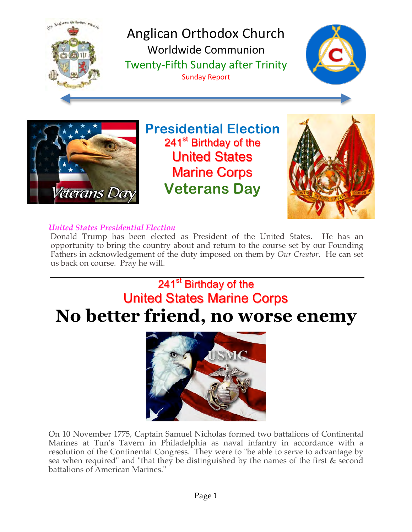

Anglican Orthodox Church Worldwide Communion Twenty-Fifth Sunday after Trinity Sunday Report





**Presidential Election** 241<sup>st</sup> Birthday of the **United States Marine Corps Veterans Day**



# *United States Presidential Election*

Donald Trump has been elected as President of the United States. He has an opportunity to bring the country about and return to the course set by our Founding Fathers in acknowledgement of the duty imposed on them by *Our Creator*. He can set us back on course. Pray he will.

# 241<sup>st</sup> Birthday of the **United States Marine Corps No better friend, no worse enemy**



On 10 November 1775, Captain Samuel Nicholas formed two battalions of Continental Marines at Tun's Tavern in Philadelphia as naval infantry in accordance with a resolution of the Continental Congress. They were to "be able to serve to advantage by sea when required" and "that they be distinguished by the names of the first & second battalions of American Marines."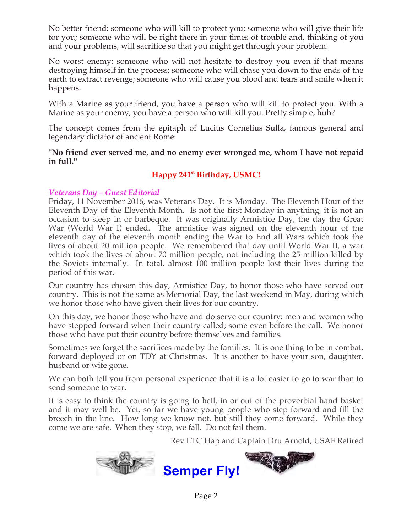No better friend: someone who will kill to protect you; someone who will give their life for you; someone who will be right there in your times of trouble and, thinking of you and your problems, will sacrifice so that you might get through your problem.

No worst enemy: someone who will not hesitate to destroy you even if that means destroying himself in the process; someone who will chase you down to the ends of the earth to extract revenge; someone who will cause you blood and tears and smile when it happens.

With a Marine as your friend, you have a person who will kill to protect you. With a Marine as your enemy, you have a person who will kill you. Pretty simple, huh?

The concept comes from the epitaph of Lucius Cornelius Sulla, famous general and legendary dictator of ancient Rome:

**"No friend ever served me, and no enemy ever wronged me, whom I have not repaid in full."**

# **Happy 241st Birthday, USMC!**

#### *Veterans Day – Guest Editorial*

Friday, 11 November 2016, was Veterans Day. It is Monday. The Eleventh Hour of the Eleventh Day of the Eleventh Month. Is not the first Monday in anything, it is not an occasion to sleep in or barbeque. It was originally Armistice Day, the day the Great War (World War I) ended. The armistice was signed on the eleventh hour of the eleventh day of the eleventh month ending the War to End all Wars which took the lives of about 20 million people. We remembered that day until World War II, a war which took the lives of about 70 million people, not including the 25 million killed by the Soviets internally. In total, almost 100 million people lost their lives during the period of this war.

Our country has chosen this day, Armistice Day, to honor those who have served our country. This is not the same as Memorial Day, the last weekend in May, during which we honor those who have given their lives for our country.

On this day, we honor those who have and do serve our country: men and women who have stepped forward when their country called; some even before the call. We honor those who have put their country before themselves and families.

Sometimes we forget the sacrifices made by the families. It is one thing to be in combat, forward deployed or on TDY at Christmas. It is another to have your son, daughter, husband or wife gone.

We can both tell you from personal experience that it is a lot easier to go to war than to send someone to war.

It is easy to think the country is going to hell, in or out of the proverbial hand basket and it may well be. Yet, so far we have young people who step forward and fill the breech in the line. How long we know not, but still they come forward. While they come we are safe. When they stop, we fall. Do not fail them.

Rev LTC Hap and Captain Dru Arnold, USAF Retired

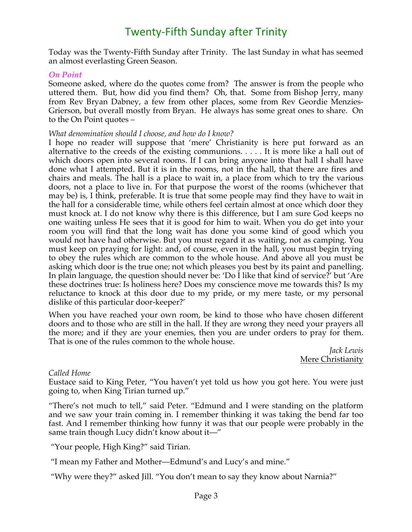# Twenty-Fifth Sunday after Trinity

Today was the Twenty-Fifth Sunday after Trinity. The last Sunday in what has seemed an almost everlasting Green Season.

#### *On Point*

Someone asked, where do the quotes come from? The answer is from the people who uttered them. But, how did you find them? Oh, that. Some from Bishop Jerry, many from Rev Bryan Dabney, a few from other places, some from Rev Geordie Menzies-Grierson, but overall mostly from Bryan. He always has some great ones to share. On to the On Point quotes –

#### *What denomination should I choose, and how do I know?*

I hope no reader will suppose that 'mere' Christianity is here put forward as an alternative to the creeds of the existing communions. . . . . It is more like a hall out of which doors open into several rooms. If I can bring anyone into that hall I shall have done what I attempted. But it is in the rooms, not in the hall, that there are fires and chairs and meals. The hall is a place to wait in, a place from which to try the various doors, not a place to live in. For that purpose the worst of the rooms (whichever that may be) is, I think, preferable. It is true that some people may find they have to wait in the hall for a considerable time, while others feel certain almost at once which door they must knock at. I do not know why there is this difference, but I am sure God keeps no one waiting unless He sees that it is good for him to wait. When you do get into your room you will find that the long wait has done you some kind of good which you would not have had otherwise. But you must regard it as waiting, not as camping. You must keep on praying for light: and, of course, even in the hall, you must begin trying to obey the rules which are common to the whole house. And above all you must be asking which door is the true one; not which pleases you best by its paint and panelling. In plain language, the question should never be: 'Do I like that kind of service?' but 'Are these doctrines true: Is holiness here? Does my conscience move me towards this? Is my reluctance to knock at this door due to my pride, or my mere taste, or my personal dislike of this particular door-keeper?'

When you have reached your own room, be kind to those who have chosen different doors and to those who are still in the hall. If they are wrong they need your prayers all the more; and if they are your enemies, then you are under orders to pray for them. That is one of the rules common to the whole house.

*Jack Lewis* Mere Christianity

#### *Called Home*

Eustace said to King Peter, "You haven't yet told us how you got here. You were just going to, when King Tirian turned up."

"There's not much to tell," said Peter. "Edmund and I were standing on the platform and we saw your train coming in. I remember thinking it was taking the bend far too fast. And I remember thinking how funny it was that our people were probably in the same train though Lucy didn't know about it—"

"Your people, High King?" said Tirian.

"I mean my Father and Mother—Edmund's and Lucy's and mine."

"Why were they?" asked Jill. "You don't mean to say they know about Narnia?"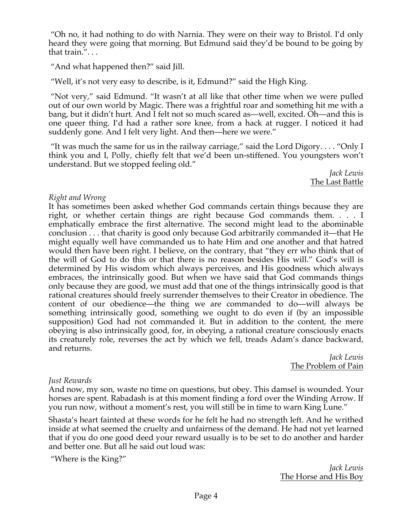"Oh no, it had nothing to do with Narnia. They were on their way to Bristol. I'd only heard they were going that morning. But Edmund said they'd be bound to be going by that train.". . .

"And what happened then?" said Jill.

"Well, it's not very easy to describe, is it, Edmund?" said the High King.

"Not very," said Edmund. "It wasn't at all like that other time when we were pulled out of our own world by Magic. There was a frightful roar and something hit me with a bang, but it didn't hurt. And I felt not so much scared as—well, excited. Oh—and this is one queer thing. I'd had a rather sore knee, from a hack at rugger. I noticed it had suddenly gone. And I felt very light. And then—here we were."

"It was much the same for us in the railway carriage," said the Lord Digory.... "Only I think you and I, Polly, chiefly felt that we'd been un-stiffened. You youngsters won't understand. But we stopped feeling old."

*Jack Lewis* The Last Battle

## *Right and Wrong*

It has sometimes been asked whether God commands certain things because they are right, or whether certain things are right because God commands them. . . . I emphatically embrace the first alternative. The second might lead to the abominable conclusion . . . that charity is good only because God arbitrarily commanded it—that He might equally well have commanded us to hate Him and one another and that hatred would then have been right. I believe, on the contrary, that "they err who think that of the will of God to do this or that there is no reason besides His will." God's will is determined by His wisdom which always perceives, and His goodness which always embraces, the intrinsically good. But when we have said that God commands things only because they are good, we must add that one of the things intrinsically good is that rational creatures should freely surrender themselves to their Creator in obedience. The content of our obedience—the thing we are commanded to do—will always be something intrinsically good, something we ought to do even if (by an impossible supposition) God had not commanded it. But in addition to the content, the mere obeying is also intrinsically good, for, in obeying, a rational creature consciously enacts its creaturely role, reverses the act by which we fell, treads Adam's dance backward, and returns.

*Jack Lewis* The Problem of Pain

## *Just Rewards*

And now, my son, waste no time on questions, but obey. This damsel is wounded. Your horses are spent. Rabadash is at this moment finding a ford over the Winding Arrow. If you run now, without a moment's rest, you will still be in time to warn King Lune."

Shasta's heart fainted at these words for he felt he had no strength left. And he writhed inside at what seemed the cruelty and unfairness of the demand. He had not yet learned that if you do one good deed your reward usually is to be set to do another and harder and better one. But all he said out loud was:

"Where is the King?"

*Jack Lewis* The Horse and His Boy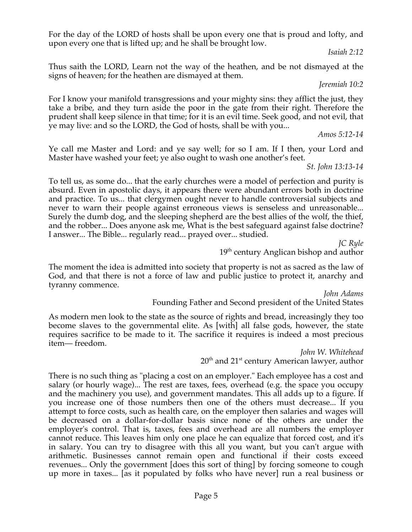For the day of the LORD of hosts shall be upon every one that is proud and lofty, and upon every one that is lifted up; and he shall be brought low.

*Isaiah 2:12*

Thus saith the LORD, Learn not the way of the heathen, and be not dismayed at the signs of heaven; for the heathen are dismayed at them.

*Jeremiah 10:2*

For I know your manifold transgressions and your mighty sins: they afflict the just, they take a bribe, and they turn aside the poor in the gate from their right. Therefore the prudent shall keep silence in that time; for it is an evil time. Seek good, and not evil, that ye may live: and so the LORD, the God of hosts, shall be with you...

*Amos 5:12-14*

Ye call me Master and Lord: and ye say well; for so I am. If I then, your Lord and Master have washed your feet; ye also ought to wash one another's feet.

*St. John 13:13-14*

To tell us, as some do... that the early churches were a model of perfection and purity is absurd. Even in apostolic days, it appears there were abundant errors both in doctrine and practice. To us... that clergymen ought never to handle controversial subjects and never to warn their people against erroneous views is senseless and unreasonable... Surely the dumb dog, and the sleeping shepherd are the best allies of the wolf, the thief, and the robber... Does anyone ask me, What is the best safeguard against false doctrine? I answer... The Bible... regularly read... prayed over... studied.

*JC Ryle* 19<sup>th</sup> century Anglican bishop and author

The moment the idea is admitted into society that property is not as sacred as the law of God, and that there is not a force of law and public justice to protect it, anarchy and tyranny commence.

*John Adams* Founding Father and Second president of the United States

As modern men look to the state as the source of rights and bread, increasingly they too become slaves to the governmental elite. As [with] all false gods, however, the state requires sacrifice to be made to it. The sacrifice it requires is indeed a most precious item— freedom.

> *John W. Whitehead* 20<sup>th</sup> and 21<sup>st</sup> century American lawyer, author

There is no such thing as "placing a cost on an employer." Each employee has a cost and salary (or hourly wage)... The rest are taxes, fees, overhead (e.g. the space you occupy and the machinery you use), and government mandates. This all adds up to a figure. If you increase one of those numbers then one of the others must decrease... If you attempt to force costs, such as health care, on the employer then salaries and wages will be decreased on a dollar-for-dollar basis since none of the others are under the employer's control. That is, taxes, fees and overhead are all numbers the employer cannot reduce. This leaves him only one place he can equalize that forced cost, and it's in salary. You can try to disagree with this all you want, but you can't argue with arithmetic. Businesses cannot remain open and functional if their costs exceed revenues... Only the government [does this sort of thing] by forcing someone to cough up more in taxes... [as it populated by folks who have never] run a real business or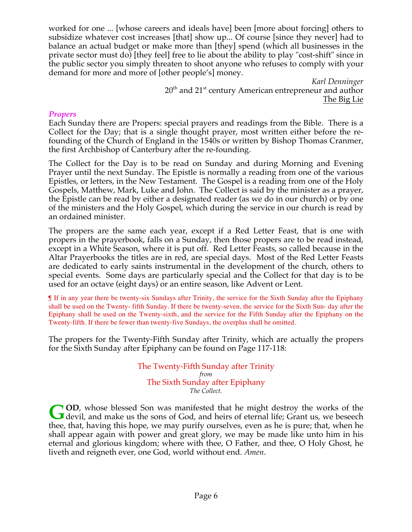worked for one ... [whose careers and ideals have] been [more about forcing] others to subsidize whatever cost increases [that] show up... Of course [since they never] had to balance an actual budget or make more than [they] spend (which all businesses in the private sector must do) [they feel] free to lie about the ability to play "cost-shift" since in the public sector you simply threaten to shoot anyone who refuses to comply with your demand for more and more of [other people's] money.

> *Karl Denninger*  $20<sup>th</sup>$  and  $21<sup>st</sup>$  century American entrepreneur and author The Big Lie

#### *Propers*

Each Sunday there are Propers: special prayers and readings from the Bible. There is a Collect for the Day; that is a single thought prayer, most written either before the refounding of the Church of England in the 1540s or written by Bishop Thomas Cranmer, the first Archbishop of Canterbury after the re-founding.

The Collect for the Day is to be read on Sunday and during Morning and Evening Prayer until the next Sunday. The Epistle is normally a reading from one of the various Epistles, or letters, in the New Testament. The Gospel is a reading from one of the Holy Gospels, Matthew, Mark, Luke and John. The Collect is said by the minister as a prayer, the Epistle can be read by either a designated reader (as we do in our church) or by one of the ministers and the Holy Gospel, which during the service in our church is read by an ordained minister.

The propers are the same each year, except if a Red Letter Feast, that is one with propers in the prayerbook, falls on a Sunday, then those propers are to be read instead, except in a White Season, where it is put off. Red Letter Feasts, so called because in the Altar Prayerbooks the titles are in red, are special days. Most of the Red Letter Feasts are dedicated to early saints instrumental in the development of the church, others to special events. Some days are particularly special and the Collect for that day is to be used for an octave (eight days) or an entire season, like Advent or Lent.

¶ If in any year there be twenty-six Sundays after Trinity, the service for the Sixth Sunday after the Epiphany shall be used on the Twenty- fifth Sunday. If there be twenty-seven, the service for the Sixth Sun- day after the Epiphany shall be used on the Twenty-sixth, and the service for the Fifth Sunday after the Epiphany on the Twenty-fifth. If there be fewer than twenty-five Sundays, the overplus shall be omitted.

The propers for the Twenty-Fifth Sunday after Trinity, which are actually the propers for the Sixth Sunday after Epiphany can be found on Page 117-118:

> The Twenty-Fifth Sunday after Trinity *from* The Sixth Sunday after Epiphany *The Collect.*

**OD**, whose blessed Son was manifested that he might destroy the works of the **GOD**, whose blessed Son was manifested that he might destroy the works of the devil, and make us the sons of God, and heirs of eternal life; Grant us, we beseech thee, that, having this hope, we may purify ourselves, even as he is pure; that, when he shall appear again with power and great glory, we may be made like unto him in his eternal and glorious kingdom; where with thee, O Father, and thee, O Holy Ghost, he liveth and reigneth ever, one God, world without end. *Amen*.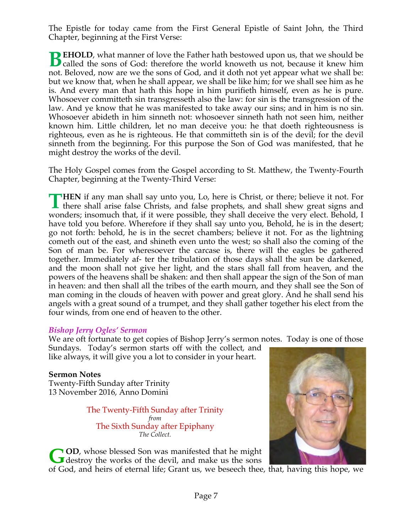The Epistle for today came from the First General Epistle of Saint John, the Third Chapter, beginning at the First Verse:

**EHOLD**, what manner of love the Father hath bestowed upon us, that we should be **B** EHOLD, what manner of love the Father hath bestowed upon us, that we should be called the sons of God: therefore the world knoweth us not, because it knew him not. Beloved, now are we the sons of God, and it doth not yet appear what we shall be: but we know that, when he shall appear, we shall be like him; for we shall see him as he is. And every man that hath this hope in him purifieth himself, even as he is pure. Whosoever committeth sin transgresseth also the law: for sin is the transgression of the law. And ye know that he was manifested to take away our sins; and in him is no sin. Whosoever abideth in him sinneth not: whosoever sinneth hath not seen him, neither known him. Little children, let no man deceive you: he that doeth righteousness is righteous, even as he is righteous. He that committeth sin is of the devil; for the devil sinneth from the beginning. For this purpose the Son of God was manifested, that he might destroy the works of the devil.

The Holy Gospel comes from the Gospel according to St. Matthew, the Twenty-Fourth Chapter, beginning at the Twenty-Third Verse:

**HEN** if any man shall say unto you, Lo, here is Christ, or there; believe it not. For there shall arise false Christs, and false prophets, and shall shew great signs and  $\blacksquare$  there shall arise false Christs, and false prophets, and shall shew great signs and wonders; insomuch that, if it were possible, they shall deceive the very elect. Behold, I have told you before. Wherefore if they shall say unto you, Behold, he is in the desert; go not forth: behold, he is in the secret chambers; believe it not. For as the lightning cometh out of the east, and shineth even unto the west; so shall also the coming of the Son of man be. For wheresoever the carcase is, there will the eagles be gathered together. Immediately af- ter the tribulation of those days shall the sun be darkened, and the moon shall not give her light, and the stars shall fall from heaven, and the powers of the heavens shall be shaken: and then shall appear the sign of the Son of man in heaven: and then shall all the tribes of the earth mourn, and they shall see the Son of man coming in the clouds of heaven with power and great glory. And he shall send his angels with a great sound of a trumpet, and they shall gather together his elect from the four winds, from one end of heaven to the other.

#### *Bishop Jerry Ogles' Sermon*

We are oft fortunate to get copies of Bishop Jerry's sermon notes. Today is one of those

Sundays. Today's sermon starts off with the collect, and like always, it will give you a lot to consider in your heart.

#### **Sermon Notes** Twenty-Fifth Sunday after Trinity 13 November 2016, Anno Domini

The Twenty-Fifth Sunday after Trinity *from* The Sixth Sunday after Epiphany *The Collect.*

**OD**, whose blessed Son was manifested that he might **G** OD, whose blessed Son was manifested that he might destroy the works of the devil, and make us the sons



of God, and heirs of eternal life; Grant us, we beseech thee, that, having this hope, we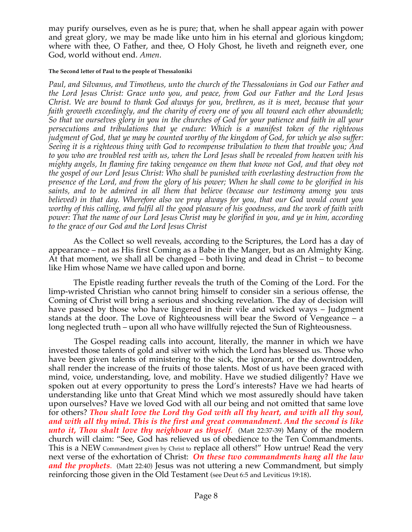may purify ourselves, even as he is pure; that, when he shall appear again with power and great glory, we may be made like unto him in his eternal and glorious kingdom; where with thee, O Father, and thee, O Holy Ghost, he liveth and reigneth ever, one God, world without end. *Amen*.

#### **The Second letter of Paul to the people of Thessaloniki**

*Paul, and Silvanus, and Timotheus, unto the church of the Thessalonians in God our Father and the Lord Jesus Christ: Grace unto you, and peace, from God our Father and the Lord Jesus Christ. We are bound to thank God always for you, brethren, as it is meet, because that your faith groweth exceedingly, and the charity of every one of you all toward each other aboundeth; So that we ourselves glory in you in the churches of God for your patience and faith in all your persecutions and tribulations that ye endure: Which is a manifest token of the righteous judgment of God, that ye may be counted worthy of the kingdom of God, for which ye also suffer: Seeing it is a righteous thing with God to recompense tribulation to them that trouble you; And to you who are troubled rest with us, when the Lord Jesus shall be revealed from heaven with his mighty angels, In flaming fire taking vengeance on them that know not God, and that obey not the gospel of our Lord Jesus Christ: Who shall be punished with everlasting destruction from the presence of the Lord, and from the glory of his power; When he shall come to be glorified in his saints, and to be admired in all them that believe (because our testimony among you was believed) in that day. Wherefore also we pray always for you, that our God would count you worthy of this calling, and fulfil all the good pleasure of his goodness, and the work of faith with power: That the name of our Lord Jesus Christ may be glorified in you, and ye in him, according to the grace of our God and the Lord Jesus Christ*

 As the Collect so well reveals, according to the Scriptures, the Lord has a day of appearance – not as His first Coming as a Babe in the Manger, but as an Almighty King. At that moment, we shall all be changed – both living and dead in Christ – to become like Him whose Name we have called upon and borne.

 The Epistle reading further reveals the truth of the Coming of the Lord. For the limp-wristed Christian who cannot bring himself to consider sin a serious offense, the Coming of Christ will bring a serious and shocking revelation. The day of decision will have passed by those who have lingered in their vile and wicked ways – Judgment stands at the door. The Love of Righteousness will bear the Sword of Vengeance – a long neglected truth – upon all who have willfully rejected the Sun of Righteousness.

 The Gospel reading calls into account, literally, the manner in which we have invested those talents of gold and silver with which the Lord has blessed us. Those who have been given talents of ministering to the sick, the ignorant, or the downtrodden, shall render the increase of the fruits of those talents. Most of us have been graced with mind, voice, understanding, love, and mobility. Have we studied diligently? Have we spoken out at every opportunity to press the Lord's interests? Have we had hearts of understanding like unto that Great Mind which we most assuredly should have taken upon ourselves? Have we loved God with all our being and not omitted that same love for others? *Thou shalt love the Lord thy God with all thy heart, and with all thy soul, and with all thy mind. This is the first and great commandment. And the second is like unto it, Thou shalt love thy neighbour as thyself.* (Matt 22:37-39) Many of the modern church will claim: "See, God has relieved us of obedience to the Ten Commandments. This is a NEW Commandment given by Christ to replace all others!" How untrue! Read the very next verse of the exhortation of Christ: *On these two commandments hang all the law and the prophets*. (Matt 22:40) Jesus was not uttering a new Commandment, but simply reinforcing those given in the Old Testament (see Deut 6:5 and Leviticus 19:18).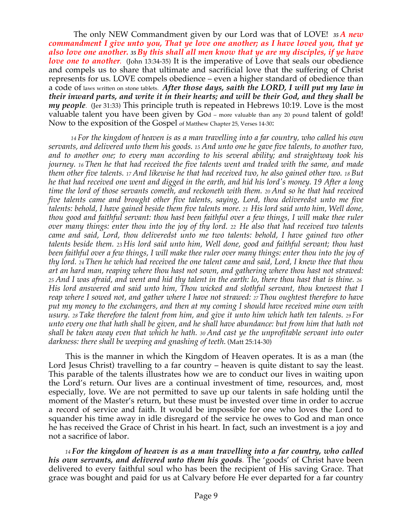The only NEW Commandment given by our Lord was that of LOVE! *<sup>35</sup> A new commandment I give unto you, That ye love one another; as I have loved you, that ye also love one another. <sup>35</sup> By this shall all men know that ye are my disciples, if ye have love one to another.* (John 13:34-35) It is the imperative of Love that seals our obedience and compels us to share that ultimate and sacrificial love that the suffering of Christ represents for us. LOVE compels obedience – even a higher standard of obedience than a code of laws written on stone tablets. *After those days, saith the LORD, I will put my law in their inward parts, and write it in their hearts; and will be their God, and they shall be my people*. (Jer 31:33) This principle truth is repeated in Hebrews 10:19. Love is the most valuable talent you have been given by God – more valuable than any 20 pound talent of gold! Now to the exposition of the Gospel of Matthew Chapter 25, Verses 14-30:

 *14 For the kingdom of heaven is as a man travelling into a far country, who called his own servants, and delivered unto them his goods. 15 And unto one he gave five talents, to another two, and to another one; to every man according to his several ability; and straightway took his journey. <sup>16</sup> Then he that had received the five talents went and traded with the same, and made them other five talents. 17 And likewise he that had received two, he also gained other two. 18 But he that had received one went and digged in the earth, and hid his lord's money. 19 After a long time the lord of those servants cometh, and reckoneth with them. 20 And so he that had received five talents came and brought other five talents, saying, Lord, thou deliveredst unto me five talents: behold, I have gained beside them five talents more. 21 His lord said unto him, Well done, thou good and faithful servant: thou hast been faithful over a few things, I will make thee ruler over many things: enter thou into the joy of thy lord. 22 He also that had received two talents came and said, Lord, thou deliveredst unto me two talents: behold, I have gained two other talents beside them. <sup>23</sup> His lord said unto him, Well done, good and faithful servant; thou hast been faithful over a few things, I will make thee ruler over many things: enter thou into the joy of thy lord. <sup>24</sup> Then he which had received the one talent came and said, Lord, I knew thee that thou art an hard man, reaping where thou hast not sown, and gathering where thou hast not strawed: <sup>25</sup> And I was afraid, and went and hid thy talent in the earth: lo, there thou hast that is thine. 26 His lord answered and said unto him, Thou wicked and slothful servant, thou knewest that I reap where I sowed not, and gather where I have not strawed: 27 Thou oughtest therefore to have put my money to the exchangers, and then at my coming I should have received mine own with usury. 28 Take therefore the talent from him, and give it unto him which hath ten talents. 29 For unto every one that hath shall be given, and he shall have abundance: but from him that hath not shall be taken away even that which he hath. 30 And cast ye the unprofitable servant into outer darkness: there shall be weeping and gnashing of teeth.* (Matt 25:14-30)

 This is the manner in which the Kingdom of Heaven operates. It is as a man (the Lord Jesus Christ) travelling to a far country – heaven is quite distant to say the least. This parable of the talents illustrates how we are to conduct our lives in waiting upon the Lord's return. Our lives are a continual investment of time, resources, and, most especially, love. We are not permitted to save up our talents in safe holding until the moment of the Master's return, but these must be invested over time in order to accrue a record of service and faith. It would be impossible for one who loves the Lord to squander his time away in idle disregard of the service he owes to God and man once he has received the Grace of Christ in his heart. In fact, such an investment is a joy and not a sacrifice of labor.

 *<sup>14</sup> For the kingdom of heaven is as a man travelling into a far country, who called his own servants, and delivered unto them his goods.* The 'goods' of Christ have been delivered to every faithful soul who has been the recipient of His saving Grace. That grace was bought and paid for us at Calvary before He ever departed for a far country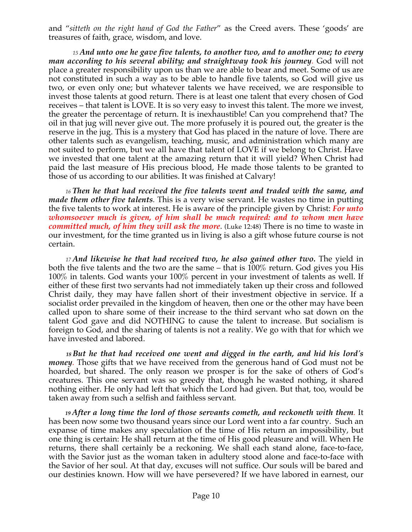and "*sitteth on the right hand of God the Father*" as the Creed avers. These 'goods' are treasures of faith, grace, wisdom, and love.

*<sup>15</sup> And unto one he gave five talents, to another two, and to another one; to every man according to his several ability; and straightway took his journey.* God will not place a greater responsibility upon us than we are able to bear and meet. Some of us are not constituted in such a way as to be able to handle five talents, so God will give us two, or even only one; but whatever talents we have received, we are responsible to invest those talents at good return. There is at least one talent that every chosen of God receives – that talent is LOVE. It is so very easy to invest this talent. The more we invest, the greater the percentage of return. It is inexhaustible! Can you comprehend that? The oil in that jug will never give out. The more profusely it is poured out, the greater is the reserve in the jug. This is a mystery that God has placed in the nature of love. There are other talents such as evangelism, teaching, music, and administration which many are not suited to perform, but we all have that talent of LOVE if we belong to Christ. Have we invested that one talent at the amazing return that it will yield? When Christ had paid the last measure of His precious blood, He made those talents to be granted to those of us according to our abilities. It was finished at Calvary!

 *<sup>16</sup> Then he that had received the five talents went and traded with the same, and made them other five talents.* This is a very wise servant. He wastes no time in putting the five talents to work at interest. He is aware of the principle given by Christ: *For unto whomsoever much is given, of him shall be much required: and to whom men have committed much, of him they will ask the more*. (Luke 12:48) There is no time to waste in our investment, for the time granted us in living is also a gift whose future course is not certain.

 *<sup>17</sup> And likewise he that had received two, he also gained other two.* The yield in both the five talents and the two are the same – that is 100% return. God gives you His 100% in talents. God wants your 100% percent in your investment of talents as well. If either of these first two servants had not immediately taken up their cross and followed Christ daily, they may have fallen short of their investment objective in service. If a socialist order prevailed in the kingdom of heaven, then one or the other may have been called upon to share some of their increase to the third servant who sat down on the talent God gave and did NOTHING to cause the talent to increase. But socialism is foreign to God, and the sharing of talents is not a reality. We go with that for which we have invested and labored.

 *18 But he that had received one went and digged in the earth, and hid his lord's money.* Those gifts that we have received from the generous hand of God must not be hoarded, but shared. The only reason we prosper is for the sake of others of God's creatures. This one servant was so greedy that, though he wasted nothing, it shared nothing either. He only had left that which the Lord had given. But that, too, would be taken away from such a selfish and faithless servant.

 *<sup>19</sup> After a long time the lord of those servants cometh, and reckoneth with them.* It has been now some two thousand years since our Lord went into a far country. Such an expanse of time makes any speculation of the time of His return an impossibility, but one thing is certain: He shall return at the time of His good pleasure and will. When He returns, there shall certainly be a reckoning. We shall each stand alone, face-to-face, with the Savior just as the woman taken in adultery stood alone and face-to-face with the Savior of her soul. At that day, excuses will not suffice. Our souls will be bared and our destinies known. How will we have persevered? If we have labored in earnest, our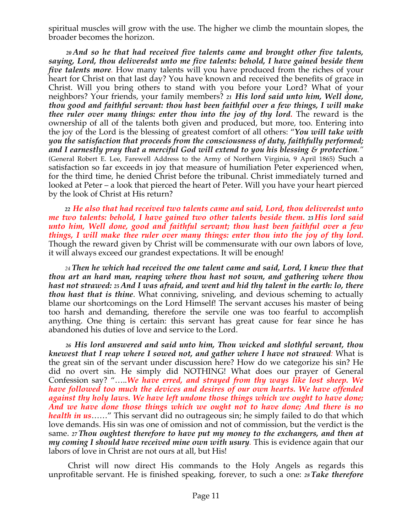spiritual muscles will grow with the use. The higher we climb the mountain slopes, the broader becomes the horizon.

 *<sup>20</sup> And so he that had received five talents came and brought other five talents, saying, Lord, thou deliveredst unto me five talents: behold, I have gained beside them five talents more.* How many talents will you have produced from the riches of your heart for Christ on that last day? You have known and received the benefits of grace in Christ. Will you bring others to stand with you before your Lord? What of your neighbors? Your friends, your family members? *<sup>21</sup> His lord said unto him, Well done, thou good and faithful servant: thou hast been faithful over a few things, I will make thee ruler over many things: enter thou into the joy of thy lord.* The reward is the ownership of all of the talents both given and produced, but more, too. Entering into the joy of the Lord is the blessing of greatest comfort of all others: "*You will take with you the satisfaction that proceeds from the consciousness of duty, faithfully performed; and I earnestly pray that a merciful God will extend to you his blessing & protection."* (General Robert E. Lee, Farewell Address to the Army of Northern Virginia, 9 April 1865) Such a satisfaction so far exceeds in joy that measure of humiliation Peter experienced when, for the third time, he denied Christ before the tribunal. Christ immediately turned and looked at Peter – a look that pierced the heart of Peter. Will you have your heart pierced by the look of Christ at His return?

 *<sup>22</sup> He also that had received two talents came and said, Lord, thou deliveredst unto me two talents: behold, I have gained two other talents beside them. <sup>23</sup> His lord said unto him, Well done, good and faithful servant; thou hast been faithful over a few things, I will make thee ruler over many things: enter thou into the joy of thy lord.* Though the reward given by Christ will be commensurate with our own labors of love, it will always exceed our grandest expectations. It will be enough!

 *<sup>24</sup> Then he which had received the one talent came and said, Lord, I knew thee that thou art an hard man, reaping where thou hast not sown, and gathering where thou hast not strawed: 25 And I was afraid, and went and hid thy talent in the earth: lo, there thou hast that is thine*. What conniving, sniveling, and devious scheming to actually blame our shortcomings on the Lord Himself! The servant accuses his master of being too harsh and demanding, therefore the servile one was too fearful to accomplish anything. One thing is certain: this servant has great cause for fear since he has abandoned his duties of love and service to the Lord.

 *<sup>26</sup> His lord answered and said unto him, Thou wicked and slothful servant, thou knewest that I reap where I sowed not, and gather where I have not strawed:* What is the great sin of the servant under discussion here? How do we categorize his sin? He did no overt sin. He simply did NOTHING! What does our prayer of General Confession say? "…..*We have erred, and strayed from thy ways like lost sheep. We have followed too much the devices and desires of our own hearts. We have offended against thy holy laws. We have left undone those things which we ought to have done; And we have done those things which we ought not to have done; And there is no health in us*……" This servant did no outrageous sin; he simply failed to do that which love demands. His sin was one of omission and not of commission, but the verdict is the same. *<sup>27</sup> Thou oughtest therefore to have put my money to the exchangers, and then at my coming I should have received mine own with usury.* This is evidence again that our labors of love in Christ are not ours at all, but His!

 Christ will now direct His commands to the Holy Angels as regards this unprofitable servant. He is finished speaking, forever, to such a one: *<sup>28</sup> Take therefore*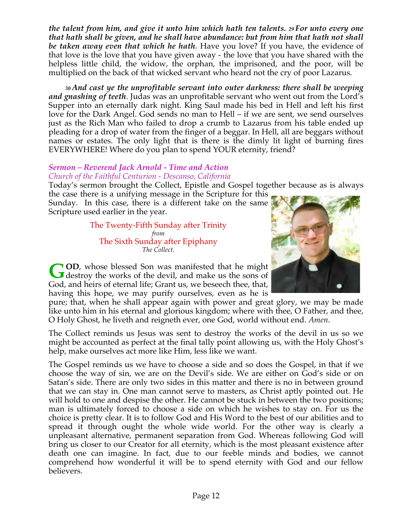*the talent from him, and give it unto him which hath ten talents. 29 For unto every one that hath shall be given, and he shall have abundance: but from him that hath not shall be taken away even that which he hath.* Have you love? If you have, the evidence of that love is the love that you have given away - the love that you have shared with the helpless little child, the widow, the orphan, the imprisoned, and the poor, will be multiplied on the back of that wicked servant who heard not the cry of poor Lazarus.

 *<sup>30</sup> And cast ye the unprofitable servant into outer darkness: there shall be weeping and gnashing of teeth*. Judas was an unprofitable servant who went out from the Lord's Supper into an eternally dark night. King Saul made his bed in Hell and left his first love for the Dark Angel. God sends no man to Hell – if we are sent, we send ourselves just as the Rich Man who failed to drop a crumb to Lazarus from his table ended up pleading for a drop of water from the finger of a beggar. In Hell, all are beggars without names or estates. The only light that is there is the dimly lit light of burning fires EVERYWHERE! Where do you plan to spend YOUR eternity, friend?

# *Sermon – Reverend Jack Arnold - Time and Action*

#### *Church of the Faithful Centurion - Descanso, California*

Today's sermon brought the Collect, Epistle and Gospel together because as is always

the case there is a unifying message in the Scripture for this Sunday. In this case, there is a different take on the same Scripture used earlier in the year.

> The Twenty-Fifth Sunday after Trinity *from* The Sixth Sunday after Epiphany *The Collect.*



**OD**, whose blessed Son was manifested that he might GOD, whose blessed Son was manifested that he might destroy the works of the devil, and make us the sons of God, and heirs of eternal life; Grant us, we beseech thee, that, having this hope, we may purify ourselves, even as he is

pure; that, when he shall appear again with power and great glory, we may be made like unto him in his eternal and glorious kingdom; where with thee, O Father, and thee, O Holy Ghost, he liveth and reigneth ever, one God, world without end. *Amen*.

The Collect reminds us Jesus was sent to destroy the works of the devil in us so we might be accounted as perfect at the final tally point allowing us, with the Holy Ghost's help, make ourselves act more like Him, less like we want.

The Gospel reminds us we have to choose a side and so does the Gospel, in that if we choose the way of sin, we are on the Devil's side. We are either on God's side or on Satan's side. There are only two sides in this matter and there is no in between ground that we can stay in. One man cannot serve to masters, as Christ aptly pointed out. He will hold to one and despise the other. He cannot be stuck in between the two positions; man is ultimately forced to choose a side on which he wishes to stay on. For us the choice is pretty clear. It is to follow God and His Word to the best of our abilities and to spread it through ought the whole wide world. For the other way is clearly a unpleasant alternative, permanent separation from God. Whereas following God will bring us closer to our Creator for all eternity, which is the most pleasant existence after death one can imagine. In fact, due to our feeble minds and bodies, we cannot comprehend how wonderful it will be to spend eternity with God and our fellow believers.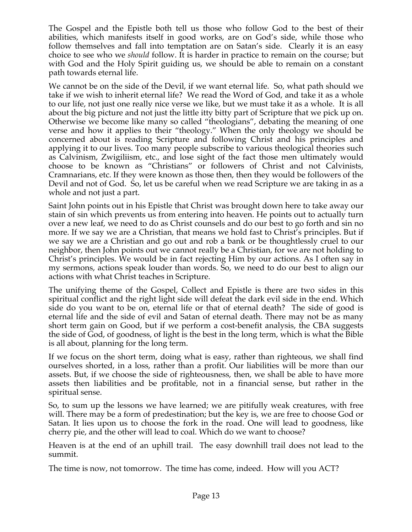The Gospel and the Epistle both tell us those who follow God to the best of their abilities, which manifests itself in good works, are on God's side, while those who follow themselves and fall into temptation are on Satan's side. Clearly it is an easy choice to see who we *should* follow. It is harder in practice to remain on the course; but with God and the Holy Spirit guiding us, we should be able to remain on a constant path towards eternal life.

We cannot be on the side of the Devil, if we want eternal life. So, what path should we take if we wish to inherit eternal life? We read the Word of God, and take it as a whole to our life, not just one really nice verse we like, but we must take it as a whole. It is all about the big picture and not just the little itty bitty part of Scripture that we pick up on. Otherwise we become like many so called "theologians", debating the meaning of one verse and how it applies to their "theology." When the only theology we should be concerned about is reading Scripture and following Christ and his principles and applying it to our lives. Too many people subscribe to various theological theories such as Calvinism, Zwigiliism, etc., and lose sight of the fact those men ultimately would choose to be known as "Christians" or followers of Christ and not Calvinists, Cramnarians, etc. If they were known as those then, then they would be followers of the Devil and not of God. So, let us be careful when we read Scripture we are taking in as a whole and not just a part.

Saint John points out in his Epistle that Christ was brought down here to take away our stain of sin which prevents us from entering into heaven. He points out to actually turn over a new leaf, we need to do as Christ counsels and do our best to go forth and sin no more. If we say we are a Christian, that means we hold fast to Christ's principles. But if we say we are a Christian and go out and rob a bank or be thoughtlessly cruel to our neighbor, then John points out we cannot really be a Christian, for we are not holding to Christ's principles. We would be in fact rejecting Him by our actions. As I often say in my sermons, actions speak louder than words. So, we need to do our best to align our actions with what Christ teaches in Scripture.

The unifying theme of the Gospel, Collect and Epistle is there are two sides in this spiritual conflict and the right light side will defeat the dark evil side in the end. Which side do you want to be on, eternal life or that of eternal death? The side of good is eternal life and the side of evil and Satan of eternal death. There may not be as many short term gain on Good, but if we perform a cost-benefit analysis, the CBA suggests the side of God, of goodness, of light is the best in the long term, which is what the Bible is all about, planning for the long term.

If we focus on the short term, doing what is easy, rather than righteous, we shall find ourselves shorted, in a loss, rather than a profit. Our liabilities will be more than our assets. But, if we choose the side of righteousness, then, we shall be able to have more assets then liabilities and be profitable, not in a financial sense, but rather in the spiritual sense.

So, to sum up the lessons we have learned; we are pitifully weak creatures, with free will. There may be a form of predestination; but the key is, we are free to choose God or Satan. It lies upon us to choose the fork in the road. One will lead to goodness, like cherry pie, and the other will lead to coal. Which do we want to choose?

Heaven is at the end of an uphill trail. The easy downhill trail does not lead to the summit.

The time is now, not tomorrow. The time has come, indeed. How will you ACT?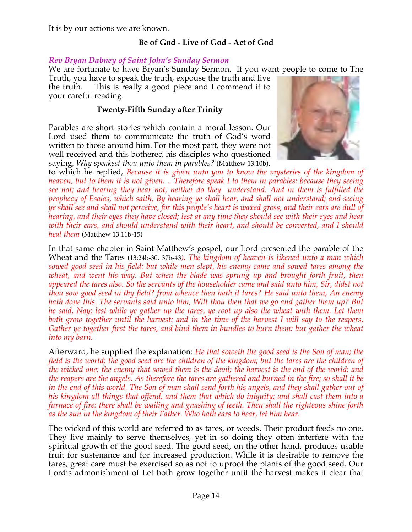It is by our actions we are known.

# **Be of God - Live of God - Act of God**

#### *Rev Bryan Dabney of Saint John's Sunday Sermon*

We are fortunate to have Bryan's Sunday Sermon. If you want people to come to The

Truth, you have to speak the truth, expouse the truth and live the truth. This is really a good piece and I commend it to your careful reading.

#### **Twenty-Fifth Sunday after Trinity**

Parables are short stories which contain a moral lesson. Our Lord used them to communicate the truth of God's word written to those around him. For the most part, they were not well received and this bothered his disciples who questioned saying, *Why speakest thou unto them in parables?* (Matthew 13:10b),



to which he replied, *Because it is given unto you to know the mysteries of the kingdom of heaven, but to them it is not given. .. Therefore speak I to them in parables: because they seeing see not; and hearing they hear not, neither do they understand. And in them is fulfilled the prophecy of Esaias, which saith, By hearing ye shall hear, and shall not understand; and seeing ye shall see and shall not perceive, for this people's heart is waxed gross, and their ears are dull of hearing, and their eyes they have closed; lest at any time they should see with their eyes and hear with their ears, and should understand with their heart, and should be converted, and I should heal them* (Matthew 13:11b-15)

In that same chapter in Saint Matthew's gospel, our Lord presented the parable of the Wheat and the Tares (13:24b-30, 37b-43*). The kingdom of heaven is likened unto a man which sowed good seed in his field: but while men slept, his enemy came and sowed tares among the wheat, and went his way. But when the blade was sprung up and brought forth fruit, then appeared the tares also. So the servants of the householder came and said unto him, Sir, didst not thou sow good seed in thy field? from whence then hath it tares? He said unto them, An enemy hath done this. The servants said unto him, Wilt thou then that we go and gather them up? But he said, Nay; lest while ye gather up the tares, ye root up also the wheat with them. Let them both grow together until the harvest: and in the time of the harvest I will say to the reapers, Gather ye together first the tares, and bind them in bundles to burn them: but gather the wheat into my barn.*

Afterward, he supplied the explanation: *He that soweth the good seed is the Son of man; the field is the world; the good seed are the children of the kingdom; but the tares are the children of the wicked one; the enemy that sowed them is the devil; the harvest is the end of the world; and the reapers are the angels. As therefore the tares are gathered and burned in the fire; so shall it be*  in the end of this world. The Son of man shall send forth his angels, and they shall gather out of *his kingdom all things that offend, and them that which do iniquity; and shall cast them into a furnace of fire: there shall be wailing and gnashing of teeth. Then shall the righteous shine forth as the sun in the kingdom of their Father. Who hath ears to hear, let him hear.*

The wicked of this world are referred to as tares, or weeds. Their product feeds no one. They live mainly to serve themselves, yet in so doing they often interfere with the spiritual growth of the good seed. The good seed, on the other hand, produces usable fruit for sustenance and for increased production. While it is desirable to remove the tares, great care must be exercised so as not to uproot the plants of the good seed. Our Lord's admonishment of Let both grow together until the harvest makes it clear that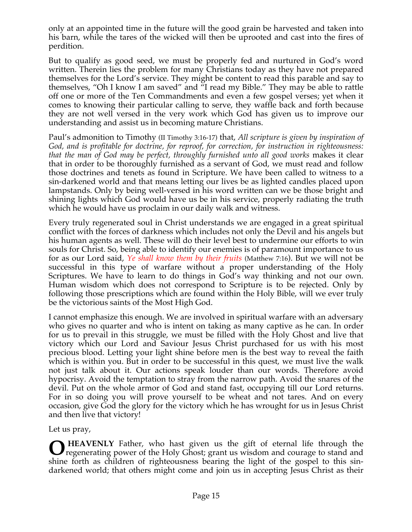only at an appointed time in the future will the good grain be harvested and taken into his barn, while the tares of the wicked will then be uprooted and cast into the fires of perdition.

But to qualify as good seed, we must be properly fed and nurtured in God's word written. Therein lies the problem for many Christians today as they have not prepared themselves for the Lord's service. They might be content to read this parable and say to themselves, "Oh I know I am saved" and "I read my Bible." They may be able to rattle off one or more of the Ten Commandments and even a few gospel verses; yet when it comes to knowing their particular calling to serve, they waffle back and forth because they are not well versed in the very work which God has given us to improve our understanding and assist us in becoming mature Christians.

Paul's admonition to Timothy (II Timothy 3:16-17) that, *All scripture is given by inspiration of God, and is profitable for doctrine, for reproof, for correction, for instruction in righteousness: that the man of God may be perfect, throughly furnished unto all good works* makes it clear that in order to be thoroughly furnished as a servant of God, we must read and follow those doctrines and tenets as found in Scripture. We have been called to witness to a sin-darkened world and that means letting our lives be as lighted candles placed upon lampstands. Only by being well-versed in his word written can we be those bright and shining lights which God would have us be in his service, properly radiating the truth which he would have us proclaim in our daily walk and witness.

Every truly regenerated soul in Christ understands we are engaged in a great spiritual conflict with the forces of darkness which includes not only the Devil and his angels but his human agents as well. These will do their level best to undermine our efforts to win souls for Christ. So, being able to identify our enemies is of paramount importance to us for as our Lord said, *Ye shall know them by their fruits* (Matthew 7:16). But we will not be successful in this type of warfare without a proper understanding of the Holy Scriptures. We have to learn to do things in God's way thinking and not our own. Human wisdom which does not correspond to Scripture is to be rejected. Only by following those prescriptions which are found within the Holy Bible, will we ever truly be the victorious saints of the Most High God.

I cannot emphasize this enough. We are involved in spiritual warfare with an adversary who gives no quarter and who is intent on taking as many captive as he can. In order for us to prevail in this struggle, we must be filled with the Holy Ghost and live that victory which our Lord and Saviour Jesus Christ purchased for us with his most precious blood. Letting your light shine before men is the best way to reveal the faith which is within you. But in order to be successful in this quest, we must live the walk not just talk about it. Our actions speak louder than our words. Therefore avoid hypocrisy. Avoid the temptation to stray from the narrow path. Avoid the snares of the devil. Put on the whole armor of God and stand fast, occupying till our Lord returns. For in so doing you will prove yourself to be wheat and not tares. And on every occasion, give God the glory for the victory which he has wrought for us in Jesus Christ and then live that victory!

Let us pray,

**O** HEAVENLY Father, who hast given us the gift of eternal life through the regenerating power of the Holy Ghost; grant us wisdom and courage to stand and regenerating power of the Holy Ghost; grant us wisdom and courage to stand and shine forth as children of righteousness bearing the light of the gospel to this sindarkened world; that others might come and join us in accepting Jesus Christ as their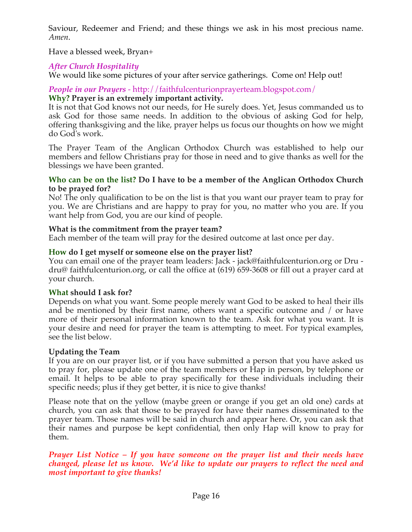Saviour, Redeemer and Friend; and these things we ask in his most precious name. *Amen*.

Have a blessed week, Bryan+

## *After Church Hospitality*

We would like some pictures of your after service gatherings. Come on! Help out!

# *People in our Prayers* - http://faithfulcenturionprayerteam.blogspot.com/

## **Why? Prayer is an extremely important activity.**

It is not that God knows not our needs, for He surely does. Yet, Jesus commanded us to ask God for those same needs. In addition to the obvious of asking God for help, offering thanksgiving and the like, prayer helps us focus our thoughts on how we might do God's work.

The Prayer Team of the Anglican Orthodox Church was established to help our members and fellow Christians pray for those in need and to give thanks as well for the blessings we have been granted.

#### **Who can be on the list? Do I have to be a member of the Anglican Orthodox Church to be prayed for?**

No! The only qualification to be on the list is that you want our prayer team to pray for you. We are Christians and are happy to pray for you, no matter who you are. If you want help from God, you are our kind of people.

## **What is the commitment from the prayer team?**

Each member of the team will pray for the desired outcome at last once per day.

# **How do I get myself or someone else on the prayer list?**

You can email one of the prayer team leaders: Jack - jack@faithfulcenturion.org or Dru dru@ faithfulcenturion.org, or call the office at (619) 659-3608 or fill out a prayer card at your church.

## **What should I ask for?**

Depends on what you want. Some people merely want God to be asked to heal their ills and be mentioned by their first name, others want a specific outcome and / or have more of their personal information known to the team. Ask for what you want. It is your desire and need for prayer the team is attempting to meet. For typical examples, see the list below.

## **Updating the Team**

If you are on our prayer list, or if you have submitted a person that you have asked us to pray for, please update one of the team members or Hap in person, by telephone or email. It helps to be able to pray specifically for these individuals including their specific needs; plus if they get better, it is nice to give thanks!

Please note that on the yellow (maybe green or orange if you get an old one) cards at church, you can ask that those to be prayed for have their names disseminated to the prayer team. Those names will be said in church and appear here. Or, you can ask that their names and purpose be kept confidential, then only Hap will know to pray for them.

#### *Prayer List Notice – If you have someone on the prayer list and their needs have changed, please let us know. We'd like to update our prayers to reflect the need and most important to give thanks!*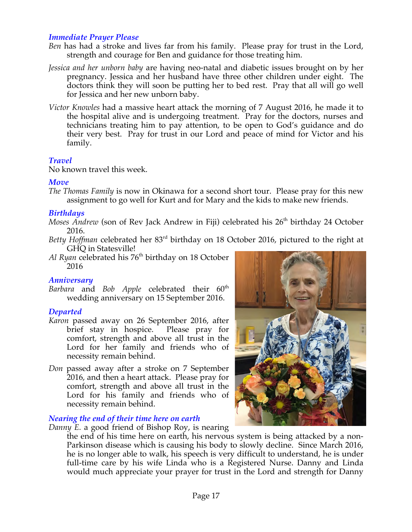#### *Immediate Prayer Please*

- *Ben* has had a stroke and lives far from his family. Please pray for trust in the Lord, strength and courage for Ben and guidance for those treating him.
- *Jessica and her unborn baby* are having neo-natal and diabetic issues brought on by her pregnancy. Jessica and her husband have three other children under eight. The doctors think they will soon be putting her to bed rest. Pray that all will go well for Jessica and her new unborn baby.
- *Victor Knowles* had a massive heart attack the morning of 7 August 2016, he made it to the hospital alive and is undergoing treatment. Pray for the doctors, nurses and technicians treating him to pay attention, to be open to God's guidance and do their very best. Pray for trust in our Lord and peace of mind for Victor and his family.

#### *Travel*

No known travel this week.

#### *Move*

*The Thomas Family* is now in Okinawa for a second short tour. Please pray for this new assignment to go well for Kurt and for Mary and the kids to make new friends.

#### *Birthdays*

- *Moses Andrew* (son of Rev Jack Andrew in Fiji) celebrated his 26<sup>th</sup> birthday 24 October 2016.
- Betty Hoffman celebrated her 83<sup>rd</sup> birthday on 18 October 2016, pictured to the right at GHQ in Statesville!
- Al Ryan celebrated his 76<sup>th</sup> birthday on 18 October 2016

#### *Anniversary*

Barbara and *Bob Apple* celebrated their 60<sup>th</sup> wedding anniversary on 15 September 2016.

#### *Departed*

- *Karon* passed away on 26 September 2016, after brief stay in hospice. Please pray for comfort, strength and above all trust in the Lord for her family and friends who of necessity remain behind.
- *Don* passed away after a stroke on 7 September 2016, and then a heart attack. Please pray for comfort, strength and above all trust in the Lord for his family and friends who of necessity remain behind.

#### *Nearing the end of their time here on earth*

*Danny E.* a good friend of Bishop Roy, is nearing

the end of his time here on earth, his nervous system is being attacked by a non-Parkinson disease which is causing his body to slowly decline. Since March 2016, he is no longer able to walk, his speech is very difficult to understand, he is under full-time care by his wife Linda who is a Registered Nurse. Danny and Linda would much appreciate your prayer for trust in the Lord and strength for Danny

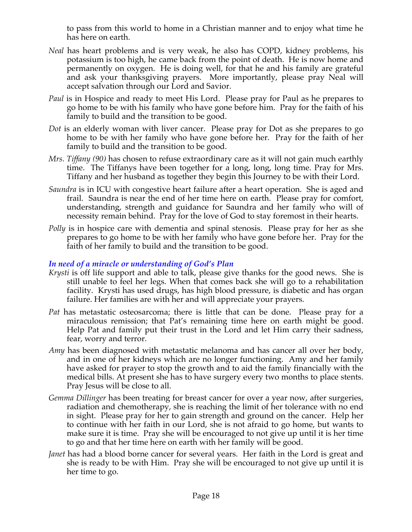to pass from this world to home in a Christian manner and to enjoy what time he has here on earth.

- *Neal* has heart problems and is very weak, he also has COPD, kidney problems, his potassium is too high, he came back from the point of death. He is now home and permanently on oxygen. He is doing well, for that he and his family are grateful and ask your thanksgiving prayers. More importantly, please pray Neal will accept salvation through our Lord and Savior.
- *Paul* is in Hospice and ready to meet His Lord. Please pray for Paul as he prepares to go home to be with his family who have gone before him. Pray for the faith of his family to build and the transition to be good.
- *Dot* is an elderly woman with liver cancer. Please pray for Dot as she prepares to go home to be with her family who have gone before her. Pray for the faith of her family to build and the transition to be good.
- *Mrs. Tiffany (90)* has chosen to refuse extraordinary care as it will not gain much earthly time. The Tiffanys have been together for a long, long, long time. Pray for Mrs. Tiffany and her husband as together they begin this Journey to be with their Lord.
- *Saundra* is in ICU with congestive heart failure after a heart operation. She is aged and frail. Saundra is near the end of her time here on earth. Please pray for comfort, understanding, strength and guidance for Saundra and her family who will of necessity remain behind. Pray for the love of God to stay foremost in their hearts.
- *Polly* is in hospice care with dementia and spinal stenosis. Please pray for her as she prepares to go home to be with her family who have gone before her. Pray for the faith of her family to build and the transition to be good.

#### *In need of a miracle or understanding of God's Plan*

- *Krysti* is off life support and able to talk, please give thanks for the good news. She is still unable to feel her legs. When that comes back she will go to a rehabilitation facility. Krysti has used drugs, has high blood pressure, is diabetic and has organ failure. Her families are with her and will appreciate your prayers.
- *Pat* has metastatic osteosarcoma; there is little that can be done. Please pray for a miraculous remission; that Pat's remaining time here on earth might be good. Help Pat and family put their trust in the Lord and let Him carry their sadness, fear, worry and terror.
- *Amy* has been diagnosed with metastatic melanoma and has cancer all over her body, and in one of her kidneys which are no longer functioning. Amy and her family have asked for prayer to stop the growth and to aid the family financially with the medical bills. At present she has to have surgery every two months to place stents. Pray Jesus will be close to all.
- *Gemma Dillinger* has been treating for breast cancer for over a year now, after surgeries, radiation and chemotherapy, she is reaching the limit of her tolerance with no end in sight. Please pray for her to gain strength and ground on the cancer. Help her to continue with her faith in our Lord, she is not afraid to go home, but wants to make sure it is time. Pray she will be encouraged to not give up until it is her time to go and that her time here on earth with her family will be good.
- *Janet* has had a blood borne cancer for several years. Her faith in the Lord is great and she is ready to be with Him. Pray she will be encouraged to not give up until it is her time to go.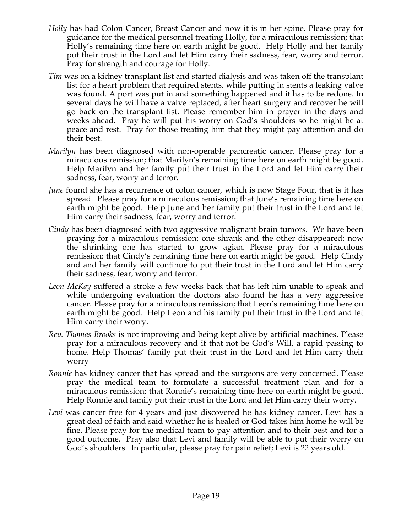- *Holly* has had Colon Cancer, Breast Cancer and now it is in her spine. Please pray for guidance for the medical personnel treating Holly, for a miraculous remission; that Holly's remaining time here on earth might be good. Help Holly and her family put their trust in the Lord and let Him carry their sadness, fear, worry and terror. Pray for strength and courage for Holly.
- *Tim* was on a kidney transplant list and started dialysis and was taken off the transplant list for a heart problem that required stents, while putting in stents a leaking valve was found. A port was put in and something happened and it has to be redone. In several days he will have a valve replaced, after heart surgery and recover he will go back on the transplant list. Please remember him in prayer in the days and weeks ahead. Pray he will put his worry on God's shoulders so he might be at peace and rest. Pray for those treating him that they might pay attention and do their best.
- *Marilyn* has been diagnosed with non-operable pancreatic cancer. Please pray for a miraculous remission; that Marilyn's remaining time here on earth might be good. Help Marilyn and her family put their trust in the Lord and let Him carry their sadness, fear, worry and terror.
- *June* found she has a recurrence of colon cancer, which is now Stage Four, that is it has spread. Please pray for a miraculous remission; that June's remaining time here on earth might be good. Help June and her family put their trust in the Lord and let Him carry their sadness, fear, worry and terror.
- *Cindy* has been diagnosed with two aggressive malignant brain tumors. We have been praying for a miraculous remission; one shrank and the other disappeared; now the shrinking one has started to grow agian. Please pray for a miraculous remission; that Cindy's remaining time here on earth might be good. Help Cindy and and her family will continue to put their trust in the Lord and let Him carry their sadness, fear, worry and terror.
- *Leon McKay* suffered a stroke a few weeks back that has left him unable to speak and while undergoing evaluation the doctors also found he has a very aggressive cancer. Please pray for a miraculous remission; that Leon's remaining time here on earth might be good. Help Leon and his family put their trust in the Lord and let Him carry their worry.
- *Rev. Thomas Brooks* is not improving and being kept alive by artificial machines. Please pray for a miraculous recovery and if that not be God's Will, a rapid passing to home. Help Thomas' family put their trust in the Lord and let Him carry their worry
- *Ronnie* has kidney cancer that has spread and the surgeons are very concerned. Please pray the medical team to formulate a successful treatment plan and for a miraculous remission; that Ronnie's remaining time here on earth might be good. Help Ronnie and family put their trust in the Lord and let Him carry their worry.
- *Levi* was cancer free for 4 years and just discovered he has kidney cancer. Levi has a great deal of faith and said whether he is healed or God takes him home he will be fine. Please pray for the medical team to pay attention and to their best and for a good outcome. Pray also that Levi and family will be able to put their worry on God's shoulders. In particular, please pray for pain relief; Levi is 22 years old.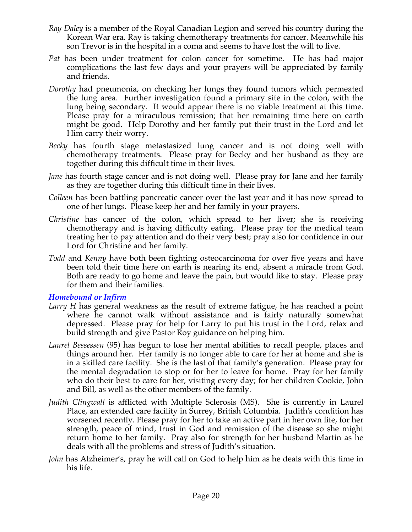- *Ray Daley* is a member of the Royal Canadian Legion and served his country during the Korean War era. Ray is taking chemotherapy treatments for cancer. Meanwhile his son Trevor is in the hospital in a coma and seems to have lost the will to live.
- *Pat* has been under treatment for colon cancer for sometime. He has had major complications the last few days and your prayers will be appreciated by family and friends.
- *Dorothy* had pneumonia, on checking her lungs they found tumors which permeated the lung area. Further investigation found a primary site in the colon, with the lung being secondary. It would appear there is no viable treatment at this time. Please pray for a miraculous remission; that her remaining time here on earth might be good. Help Dorothy and her family put their trust in the Lord and let Him carry their worry.
- *Becky* has fourth stage metastasized lung cancer and is not doing well with chemotherapy treatments. Please pray for Becky and her husband as they are together during this difficult time in their lives.
- *Jane* has fourth stage cancer and is not doing well. Please pray for Jane and her family as they are together during this difficult time in their lives.
- *Colleen* has been battling pancreatic cancer over the last year and it has now spread to one of her lungs. Please keep her and her family in your prayers.
- *Christine* has cancer of the colon, which spread to her liver; she is receiving chemotherapy and is having difficulty eating. Please pray for the medical team treating her to pay attention and do their very best; pray also for confidence in our Lord for Christine and her family.
- *Todd* and *Kenny* have both been fighting osteocarcinoma for over five years and have been told their time here on earth is nearing its end, absent a miracle from God. Both are ready to go home and leave the pain, but would like to stay. Please pray for them and their families.

#### *Homebound or Infirm*

- *Larry H* has general weakness as the result of extreme fatigue, he has reached a point where he cannot walk without assistance and is fairly naturally somewhat depressed. Please pray for help for Larry to put his trust in the Lord, relax and build strength and give Pastor Roy guidance on helping him.
- *Laurel Bessessen* (95) has begun to lose her mental abilities to recall people, places and things around her. Her family is no longer able to care for her at home and she is in a skilled care facility. She is the last of that family's generation. Please pray for the mental degradation to stop or for her to leave for home. Pray for her family who do their best to care for her, visiting every day; for her children Cookie, John and Bill, as well as the other members of the family.
- *Judith Clingwall* is afflicted with Multiple Sclerosis (MS). She is currently in Laurel Place, an extended care facility in Surrey, British Columbia. Judith's condition has worsened recently. Please pray for her to take an active part in her own life, for her strength, peace of mind, trust in God and remission of the disease so she might return home to her family. Pray also for strength for her husband Martin as he deals with all the problems and stress of Judith's situation.
- *John* has Alzheimer's, pray he will call on God to help him as he deals with this time in his life.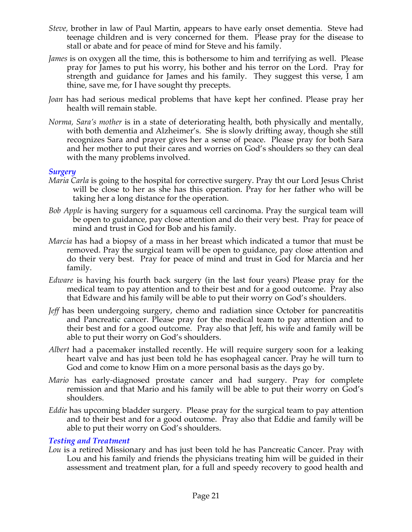- *Steve,* brother in law of Paul Martin, appears to have early onset dementia. Steve had teenage children and is very concerned for them. Please pray for the disease to stall or abate and for peace of mind for Steve and his family.
- *James* is on oxygen all the time, this is bothersome to him and terrifying as well. Please pray for James to put his worry, his bother and his terror on the Lord. Pray for strength and guidance for James and his family. They suggest this verse, I am thine, save me, for I have sought thy precepts.
- *Joan* has had serious medical problems that have kept her confined. Please pray her health will remain stable.
- *Norma, Sara's mother* is in a state of deteriorating health, both physically and mentally, with both dementia and Alzheimer's. She is slowly drifting away, though she still recognizes Sara and prayer gives her a sense of peace. Please pray for both Sara and her mother to put their cares and worries on God's shoulders so they can deal with the many problems involved.

#### *Surgery*

- *Maria Carla* is going to the hospital for corrective surgery. Pray tht our Lord Jesus Christ will be close to her as she has this operation. Pray for her father who will be taking her a long distance for the operation.
- *Bob Apple* is having surgery for a squamous cell carcinoma. Pray the surgical team will be open to guidance, pay close attention and do their very best. Pray for peace of mind and trust in God for Bob and his family.
- *Marcia* has had a biopsy of a mass in her breast which indicated a tumor that must be removed. Pray the surgical team will be open to guidance, pay close attention and do their very best. Pray for peace of mind and trust in God for Marcia and her family.
- *Edware* is having his fourth back surgery (in the last four years) Please pray for the medical team to pay attention and to their best and for a good outcome. Pray also that Edware and his family will be able to put their worry on God's shoulders.
- *Jeff* has been undergoing surgery, chemo and radiation since October for pancreatitis and Pancreatic cancer. Please pray for the medical team to pay attention and to their best and for a good outcome. Pray also that Jeff, his wife and family will be able to put their worry on God's shoulders.
- *Albert* had a pacemaker installed recently. He will require surgery soon for a leaking heart valve and has just been told he has esophageal cancer. Pray he will turn to God and come to know Him on a more personal basis as the days go by.
- *Mario* has early-diagnosed prostate cancer and had surgery. Pray for complete remission and that Mario and his family will be able to put their worry on God's shoulders.
- *Eddie* has upcoming bladder surgery. Please pray for the surgical team to pay attention and to their best and for a good outcome. Pray also that Eddie and family will be able to put their worry on God's shoulders.

## *Testing and Treatment*

*Lou* is a retired Missionary and has just been told he has Pancreatic Cancer. Pray with Lou and his family and friends the physicians treating him will be guided in their assessment and treatment plan, for a full and speedy recovery to good health and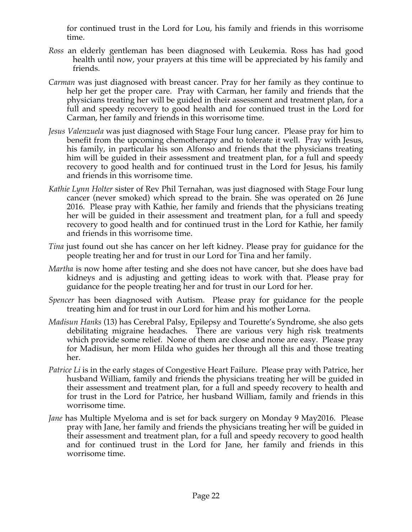for continued trust in the Lord for Lou, his family and friends in this worrisome time.

- *Ross* an elderly gentleman has been diagnosed with Leukemia. Ross has had good health until now, your prayers at this time will be appreciated by his family and friends.
- *Carman* was just diagnosed with breast cancer. Pray for her family as they continue to help her get the proper care. Pray with Carman, her family and friends that the physicians treating her will be guided in their assessment and treatment plan, for a full and speedy recovery to good health and for continued trust in the Lord for Carman, her family and friends in this worrisome time.
- *Jesus Valenzuela* was just diagnosed with Stage Four lung cancer. Please pray for him to benefit from the upcoming chemotherapy and to tolerate it well. Pray with Jesus, his family, in particular his son Alfonso and friends that the physicians treating him will be guided in their assessment and treatment plan, for a full and speedy recovery to good health and for continued trust in the Lord for Jesus, his family and friends in this worrisome time.
- *Kathie Lynn Holter* sister of Rev Phil Ternahan, was just diagnosed with Stage Four lung cancer (never smoked) which spread to the brain. She was operated on 26 June 2016. Please pray with Kathie, her family and friends that the physicians treating her will be guided in their assessment and treatment plan, for a full and speedy recovery to good health and for continued trust in the Lord for Kathie, her family and friends in this worrisome time.
- *Tina* just found out she has cancer on her left kidney. Please pray for guidance for the people treating her and for trust in our Lord for Tina and her family.
- *Martha* is now home after testing and she does not have cancer, but she does have bad kidneys and is adjusting and getting ideas to work with that. Please pray for guidance for the people treating her and for trust in our Lord for her.
- *Spencer* has been diagnosed with Autism. Please pray for guidance for the people treating him and for trust in our Lord for him and his mother Lorna.
- *Madisun Hanks* (13) has Cerebral Palsy, Epilepsy and Tourette's Syndrome, she also gets debilitating migraine headaches. There are various very high risk treatments which provide some relief. None of them are close and none are easy. Please pray for Madisun, her mom Hilda who guides her through all this and those treating her.
- *Patrice Li* is in the early stages of Congestive Heart Failure. Please pray with Patrice, her husband William, family and friends the physicians treating her will be guided in their assessment and treatment plan, for a full and speedy recovery to health and for trust in the Lord for Patrice, her husband William, family and friends in this worrisome time.
- *Jane* has Multiple Myeloma and is set for back surgery on Monday 9 May2016. Please pray with Jane, her family and friends the physicians treating her will be guided in their assessment and treatment plan, for a full and speedy recovery to good health and for continued trust in the Lord for Jane, her family and friends in this worrisome time.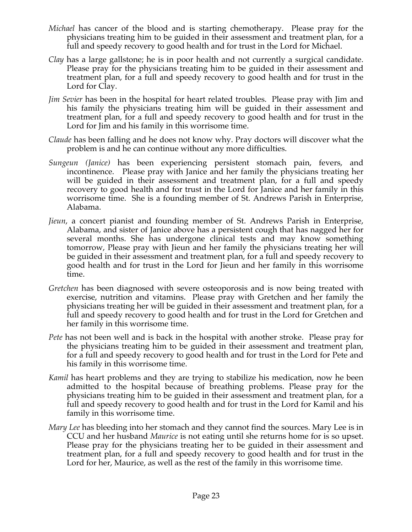- *Michael* has cancer of the blood and is starting chemotherapy. Please pray for the physicians treating him to be guided in their assessment and treatment plan, for a full and speedy recovery to good health and for trust in the Lord for Michael.
- *Clay* has a large gallstone; he is in poor health and not currently a surgical candidate. Please pray for the physicians treating him to be guided in their assessment and treatment plan, for a full and speedy recovery to good health and for trust in the Lord for Clay.
- *Jim Sevier* has been in the hospital for heart related troubles. Please pray with Jim and his family the physicians treating him will be guided in their assessment and treatment plan, for a full and speedy recovery to good health and for trust in the Lord for Jim and his family in this worrisome time.
- *Claude* has been falling and he does not know why. Pray doctors will discover what the problem is and he can continue without any more difficulties.
- *Sungeun (Janice)* has been experiencing persistent stomach pain, fevers, and incontinence. Please pray with Janice and her family the physicians treating her will be guided in their assessment and treatment plan, for a full and speedy recovery to good health and for trust in the Lord for Janice and her family in this worrisome time. She is a founding member of St. Andrews Parish in Enterprise, Alabama.
- *Jieun*, a concert pianist and founding member of St. Andrews Parish in Enterprise, Alabama, and sister of Janice above has a persistent cough that has nagged her for several months. She has undergone clinical tests and may know something tomorrow, Please pray with Jieun and her family the physicians treating her will be guided in their assessment and treatment plan, for a full and speedy recovery to good health and for trust in the Lord for Jieun and her family in this worrisome time.
- *Gretchen* has been diagnosed with severe osteoporosis and is now being treated with exercise, nutrition and vitamins. Please pray with Gretchen and her family the physicians treating her will be guided in their assessment and treatment plan, for a full and speedy recovery to good health and for trust in the Lord for Gretchen and her family in this worrisome time.
- *Pete* has not been well and is back in the hospital with another stroke. Please pray for the physicians treating him to be guided in their assessment and treatment plan, for a full and speedy recovery to good health and for trust in the Lord for Pete and his family in this worrisome time.
- *Kamil* has heart problems and they are trying to stabilize his medication, now he been admitted to the hospital because of breathing problems. Please pray for the physicians treating him to be guided in their assessment and treatment plan, for a full and speedy recovery to good health and for trust in the Lord for Kamil and his family in this worrisome time.
- *Mary Lee* has bleeding into her stomach and they cannot find the sources. Mary Lee is in CCU and her husband *Maurice* is not eating until she returns home for is so upset. Please pray for the physicians treating her to be guided in their assessment and treatment plan, for a full and speedy recovery to good health and for trust in the Lord for her, Maurice, as well as the rest of the family in this worrisome time.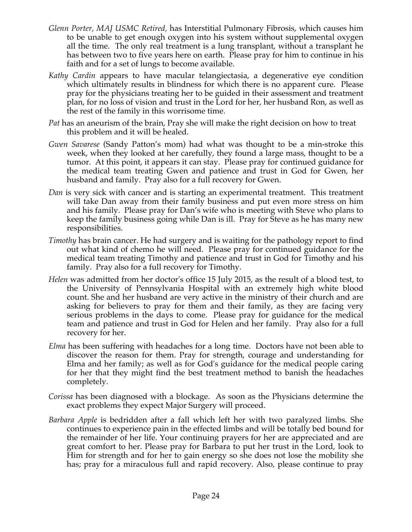- *Glenn Porter, MAJ USMC Retired,* has Interstitial Pulmonary Fibrosis, which causes him to be unable to get enough oxygen into his system without supplemental oxygen all the time. The only real treatment is a lung transplant, without a transplant he has between two to five years here on earth. Please pray for him to continue in his faith and for a set of lungs to become available.
- *Kathy Cardin* appears to have macular telangiectasia, a degenerative eye condition which ultimately results in blindness for which there is no apparent cure. Please pray for the physicians treating her to be guided in their assessment and treatment plan, for no loss of vision and trust in the Lord for her, her husband Ron, as well as the rest of the family in this worrisome time.
- *Pat* has an aneurism of the brain, Pray she will make the right decision on how to treat this problem and it will be healed.
- *Gwen Savarese* (Sandy Patton's mom) had what was thought to be a min-stroke this week, when they looked at her carefully, they found a large mass, thought to be a tumor. At this point, it appears it can stay. Please pray for continued guidance for the medical team treating Gwen and patience and trust in God for Gwen, her husband and family. Pray also for a full recovery for Gwen.
- *Dan* is very sick with cancer and is starting an experimental treatment. This treatment will take Dan away from their family business and put even more stress on him and his family. Please pray for Dan's wife who is meeting with Steve who plans to keep the family business going while Dan is ill. Pray for Steve as he has many new responsibilities.
- *Timothy* has brain cancer. He had surgery and is waiting for the pathology report to find out what kind of chemo he will need. Please pray for continued guidance for the medical team treating Timothy and patience and trust in God for Timothy and his family. Pray also for a full recovery for Timothy.
- *Helen* was admitted from her doctor's office 15 July 2015, as the result of a blood test, to the University of Pennsylvania Hospital with an extremely high white blood count. She and her husband are very active in the ministry of their church and are asking for believers to pray for them and their family, as they are facing very serious problems in the days to come. Please pray for guidance for the medical team and patience and trust in God for Helen and her family. Pray also for a full recovery for her.
- *Elma* has been suffering with headaches for a long time. Doctors have not been able to discover the reason for them. Pray for strength, courage and understanding for Elma and her family; as well as for God's guidance for the medical people caring for her that they might find the best treatment method to banish the headaches completely.
- *Corissa* has been diagnosed with a blockage. As soon as the Physicians determine the exact problems they expect Major Surgery will proceed.
- *Barbara Apple* is bedridden after a fall which left her with two paralyzed limbs. She continues to experience pain in the effected limbs and will be totally bed bound for the remainder of her life. Your continuing prayers for her are appreciated and are great comfort to her. Please pray for Barbara to put her trust in the Lord, look to Him for strength and for her to gain energy so she does not lose the mobility she has; pray for a miraculous full and rapid recovery. Also, please continue to pray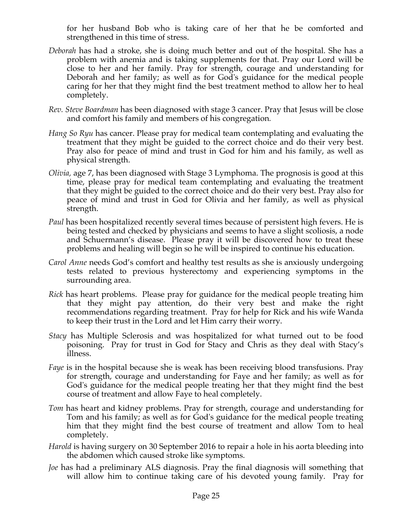for her husband Bob who is taking care of her that he be comforted and strengthened in this time of stress.

- *Deborah* has had a stroke, she is doing much better and out of the hospital. She has a problem with anemia and is taking supplements for that. Pray our Lord will be close to her and her family. Pray for strength, courage and understanding for Deborah and her family; as well as for God's guidance for the medical people caring for her that they might find the best treatment method to allow her to heal completely.
- *Rev. Steve Boardman* has been diagnosed with stage 3 cancer. Pray that Jesus will be close and comfort his family and members of his congregation*.*
- *Hang So Ryu* has cancer. Please pray for medical team contemplating and evaluating the treatment that they might be guided to the correct choice and do their very best. Pray also for peace of mind and trust in God for him and his family, as well as physical strength.
- *Olivia,* age 7, has been diagnosed with Stage 3 Lymphoma. The prognosis is good at this time, please pray for medical team contemplating and evaluating the treatment that they might be guided to the correct choice and do their very best. Pray also for peace of mind and trust in God for Olivia and her family, as well as physical strength.
- *Paul* has been hospitalized recently several times because of persistent high fevers. He is being tested and checked by physicians and seems to have a slight scoliosis, a node and Schuermann's disease. Please pray it will be discovered how to treat these problems and healing will begin so he will be inspired to continue his education.
- *Carol Anne* needs God's comfort and healthy test results as she is anxiously undergoing tests related to previous hysterectomy and experiencing symptoms in the surrounding area.
- *Rick* has heart problems. Please pray for guidance for the medical people treating him that they might pay attention, do their very best and make the right recommendations regarding treatment. Pray for help for Rick and his wife Wanda to keep their trust in the Lord and let Him carry their worry.
- *Stacy* has Multiple Sclerosis and was hospitalized for what turned out to be food poisoning. Pray for trust in God for Stacy and Chris as they deal with Stacy's illness.
- *Faye* is in the hospital because she is weak has been receiving blood transfusions. Pray for strength, courage and understanding for Faye and her family; as well as for God's guidance for the medical people treating her that they might find the best course of treatment and allow Faye to heal completely.
- *Tom* has heart and kidney problems. Pray for strength, courage and understanding for Tom and his family; as well as for God's guidance for the medical people treating him that they might find the best course of treatment and allow Tom to heal completely.
- *Harold* is having surgery on 30 September 2016 to repair a hole in his aorta bleeding into the abdomen which caused stroke like symptoms.
- *Joe* has had a preliminary ALS diagnosis. Pray the final diagnosis will something that will allow him to continue taking care of his devoted young family. Pray for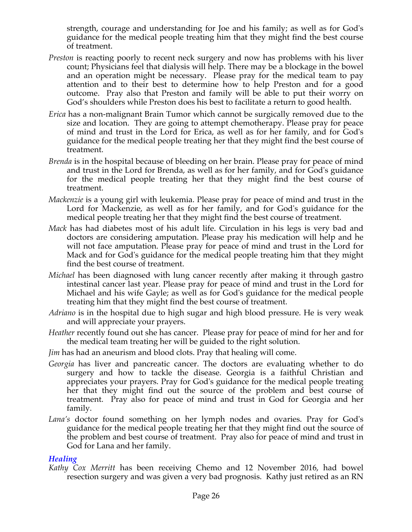strength, courage and understanding for Joe and his family; as well as for God's guidance for the medical people treating him that they might find the best course of treatment.

- *Preston* is reacting poorly to recent neck surgery and now has problems with his liver count; Physicians feel that dialysis will help. There may be a blockage in the bowel and an operation might be necessary. Please pray for the medical team to pay attention and to their best to determine how to help Preston and for a good outcome. Pray also that Preston and family will be able to put their worry on God's shoulders while Preston does his best to facilitate a return to good health.
- *Erica* has a non-malignant Brain Tumor which cannot be surgically removed due to the size and location. They are going to attempt chemotherapy. Please pray for peace of mind and trust in the Lord for Erica, as well as for her family, and for God's guidance for the medical people treating her that they might find the best course of treatment.
- *Brenda* is in the hospital because of bleeding on her brain. Please pray for peace of mind and trust in the Lord for Brenda, as well as for her family, and for God's guidance for the medical people treating her that they might find the best course of treatment.
- *Mackenzie* is a young girl with leukemia. Please pray for peace of mind and trust in the Lord for Mackenzie, as well as for her family, and for God's guidance for the medical people treating her that they might find the best course of treatment.
- *Mack* has had diabetes most of his adult life. Circulation in his legs is very bad and doctors are considering amputation. Please pray his medication will help and he will not face amputation. Please pray for peace of mind and trust in the Lord for Mack and for God's guidance for the medical people treating him that they might find the best course of treatment.
- *Michael* has been diagnosed with lung cancer recently after making it through gastro intestinal cancer last year. Please pray for peace of mind and trust in the Lord for Michael and his wife Gayle; as well as for God's guidance for the medical people treating him that they might find the best course of treatment.
- *Adriano* is in the hospital due to high sugar and high blood pressure. He is very weak and will appreciate your prayers.
- *Heather* recently found out she has cancer. Please pray for peace of mind for her and for the medical team treating her will be guided to the right solution.
- *Jim* has had an aneurism and blood clots. Pray that healing will come.
- *Georgia* has liver and pancreatic cancer. The doctors are evaluating whether to do surgery and how to tackle the disease. Georgia is a faithful Christian and appreciates your prayers. Pray for God's guidance for the medical people treating her that they might find out the source of the problem and best course of treatment. Pray also for peace of mind and trust in God for Georgia and her family.
- *Lana's* doctor found something on her lymph nodes and ovaries. Pray for God's guidance for the medical people treating her that they might find out the source of the problem and best course of treatment. Pray also for peace of mind and trust in God for Lana and her family.

#### *Healing*

*Kathy Cox Merritt* has been receiving Chemo and 12 November 2016, had bowel resection surgery and was given a very bad prognosis. Kathy just retired as an RN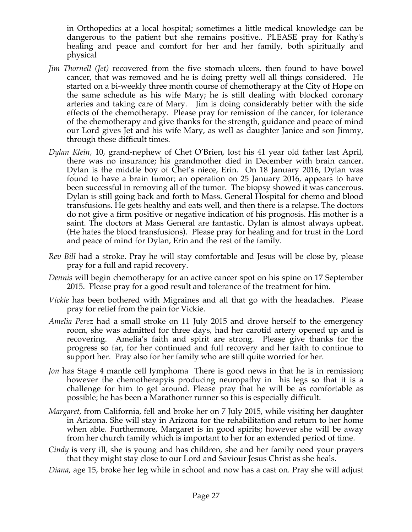in Orthopedics at a local hospital; sometimes a little medical knowledge can be dangerous to the patient but she remains positive.. PLEASE pray for Kathy's healing and peace and comfort for her and her family, both spiritually and physical

- *Jim Thornell (Jet)* recovered from the five stomach ulcers, then found to have bowel cancer, that was removed and he is doing pretty well all things considered. He started on a bi-weekly three month course of chemotherapy at the City of Hope on the same schedule as his wife Mary; he is still dealing with blocked coronary arteries and taking care of Mary. Jim is doing considerably better with the side effects of the chemotherapy. Please pray for remission of the cancer, for tolerance of the chemotherapy and give thanks for the strength, guidance and peace of mind our Lord gives Jet and his wife Mary, as well as daughter Janice and son Jimmy, through these difficult times.
- *Dylan Klein,* 10, grand-nephew of Chet O'Brien, lost his 41 year old father last April, there was no insurance; his grandmother died in December with brain cancer. Dylan is the middle boy of Chet's niece, Erin. On 18 January 2016, Dylan was found to have a brain tumor; an operation on 25 January 2016, appears to have been successful in removing all of the tumor. The biopsy showed it was cancerous. Dylan is still going back and forth to Mass. General Hospital for chemo and blood transfusions. He gets healthy and eats well, and then there is a relapse. The doctors do not give a firm positive or negative indication of his prognosis. His mother is a saint. The doctors at Mass General are fantastic. Dylan is almost always upbeat. (He hates the blood transfusions). Please pray for healing and for trust in the Lord and peace of mind for Dylan, Erin and the rest of the family.
- *Rev Bill* had a stroke. Pray he will stay comfortable and Jesus will be close by, please pray for a full and rapid recovery.
- *Dennis* will begin chemotherapy for an active cancer spot on his spine on 17 September 2015. Please pray for a good result and tolerance of the treatment for him.
- *Vickie* has been bothered with Migraines and all that go with the headaches. Please pray for relief from the pain for Vickie.
- *Amelia Perez* had a small stroke on 11 July 2015 and drove herself to the emergency room, she was admitted for three days, had her carotid artery opened up and is recovering. Amelia's faith and spirit are strong. Please give thanks for the progress so far, for her continued and full recovery and her faith to continue to support her. Pray also for her family who are still quite worried for her.
- *Jon* has Stage 4 mantle cell lymphoma There is good news in that he is in remission; however the chemotherapyis producing neuropathy in his legs so that it is a challenge for him to get around. Please pray that he will be as comfortable as possible; he has been a Marathoner runner so this is especially difficult.
- *Margaret,* from California, fell and broke her on 7 July 2015, while visiting her daughter in Arizona. She will stay in Arizona for the rehabilitation and return to her home when able. Furthermore, Margaret is in good spirits; however she will be away from her church family which is important to her for an extended period of time.
- *Cindy* is very ill, she is young and has children, she and her family need your prayers that they might stay close to our Lord and Saviour Jesus Christ as she heals.
- *Diana*, age 15, broke her leg while in school and now has a cast on. Pray she will adjust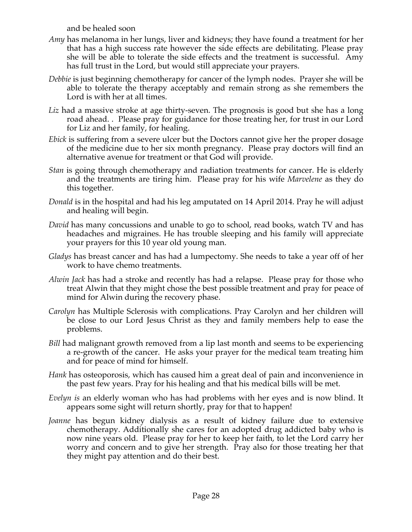and be healed soon

- *Amy* has melanoma in her lungs, liver and kidneys; they have found a treatment for her that has a high success rate however the side effects are debilitating. Please pray she will be able to tolerate the side effects and the treatment is successful. Amy has full trust in the Lord, but would still appreciate your prayers.
- *Debbie* is just beginning chemotherapy for cancer of the lymph nodes. Prayer she will be able to tolerate the therapy acceptably and remain strong as she remembers the Lord is with her at all times.
- *Liz* had a massive stroke at age thirty-seven. The prognosis is good but she has a long road ahead. . Please pray for guidance for those treating her, for trust in our Lord for Liz and her family, for healing.
- *Ebick* is suffering from a severe ulcer but the Doctors cannot give her the proper dosage of the medicine due to her six month pregnancy. Please pray doctors will find an alternative avenue for treatment or that God will provide.
- *Stan* is going through chemotherapy and radiation treatments for cancer. He is elderly and the treatments are tiring him. Please pray for his wife *Marvelene* as they do this together.
- *Donald* is in the hospital and had his leg amputated on 14 April 2014. Pray he will adjust and healing will begin.
- *David* has many concussions and unable to go to school, read books, watch TV and has headaches and migraines. He has trouble sleeping and his family will appreciate your prayers for this 10 year old young man.
- *Gladys* has breast cancer and has had a lumpectomy. She needs to take a year off of her work to have chemo treatments.
- *Alwin Jack* has had a stroke and recently has had a relapse. Please pray for those who treat Alwin that they might chose the best possible treatment and pray for peace of mind for Alwin during the recovery phase.
- *Carolyn* has Multiple Sclerosis with complications. Pray Carolyn and her children will be close to our Lord Jesus Christ as they and family members help to ease the problems.
- *Bill* had malignant growth removed from a lip last month and seems to be experiencing a re-growth of the cancer. He asks your prayer for the medical team treating him and for peace of mind for himself.
- *Hank* has osteoporosis, which has caused him a great deal of pain and inconvenience in the past few years. Pray for his healing and that his medical bills will be met.
- *Evelyn is* an elderly woman who has had problems with her eyes and is now blind. It appears some sight will return shortly, pray for that to happen!
- *Joanne* has begun kidney dialysis as a result of kidney failure due to extensive chemotherapy. Additionally she cares for an adopted drug addicted baby who is now nine years old. Please pray for her to keep her faith, to let the Lord carry her worry and concern and to give her strength. Pray also for those treating her that they might pay attention and do their best.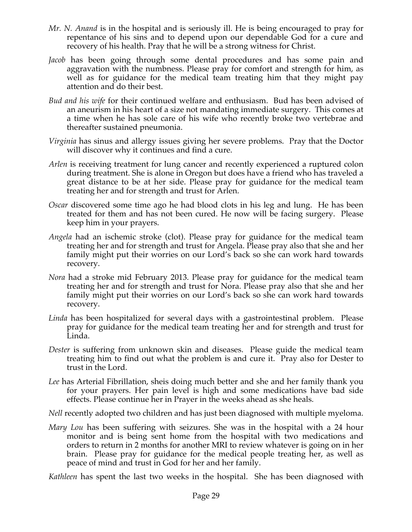- *Mr. N. Anand* is in the hospital and is seriously ill. He is being encouraged to pray for repentance of his sins and to depend upon our dependable God for a cure and recovery of his health. Pray that he will be a strong witness for Christ.
- *Jacob* has been going through some dental procedures and has some pain and aggravation with the numbness. Please pray for comfort and strength for him, as well as for guidance for the medical team treating him that they might pay attention and do their best.
- *Bud and his wife* for their continued welfare and enthusiasm. Bud has been advised of an aneurism in his heart of a size not mandating immediate surgery. This comes at a time when he has sole care of his wife who recently broke two vertebrae and thereafter sustained pneumonia.
- *Virginia* has sinus and allergy issues giving her severe problems. Pray that the Doctor will discover why it continues and find a cure.
- *Arlen* is receiving treatment for lung cancer and recently experienced a ruptured colon during treatment. She is alone in Oregon but does have a friend who has traveled a great distance to be at her side. Please pray for guidance for the medical team treating her and for strength and trust for Arlen.
- *Oscar* discovered some time ago he had blood clots in his leg and lung. He has been treated for them and has not been cured. He now will be facing surgery. Please keep him in your prayers.
- *Angela* had an ischemic stroke (clot). Please pray for guidance for the medical team treating her and for strength and trust for Angela. Please pray also that she and her family might put their worries on our Lord's back so she can work hard towards recovery.
- *Nora* had a stroke mid February 2013. Please pray for guidance for the medical team treating her and for strength and trust for Nora. Please pray also that she and her family might put their worries on our Lord's back so she can work hard towards recovery.
- *Linda* has been hospitalized for several days with a gastrointestinal problem. Please pray for guidance for the medical team treating her and for strength and trust for Linda.
- *Dester* is suffering from unknown skin and diseases. Please guide the medical team treating him to find out what the problem is and cure it. Pray also for Dester to trust in the Lord.
- *Lee* has Arterial Fibrillation, sheis doing much better and she and her family thank you for your prayers. Her pain level is high and some medications have bad side effects. Please continue her in Prayer in the weeks ahead as she heals.
- *Nell* recently adopted two children and has just been diagnosed with multiple myeloma.
- *Mary Lou* has been suffering with seizures. She was in the hospital with a 24 hour monitor and is being sent home from the hospital with two medications and orders to return in 2 months for another MRI to review whatever is going on in her brain. Please pray for guidance for the medical people treating her, as well as peace of mind and trust in God for her and her family.

*Kathleen* has spent the last two weeks in the hospital. She has been diagnosed with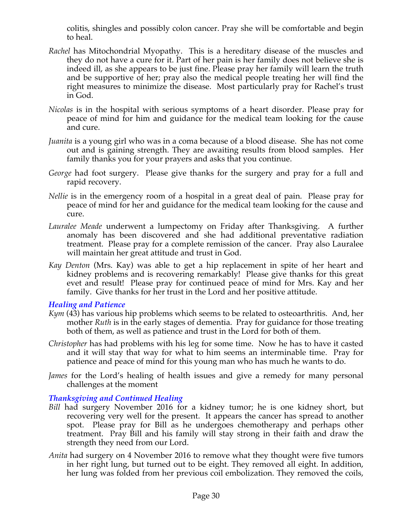colitis, shingles and possibly colon cancer. Pray she will be comfortable and begin to heal.

- *Rachel* has Mitochondrial Myopathy. This is a hereditary disease of the muscles and they do not have a cure for it. Part of her pain is her family does not believe she is indeed ill, as she appears to be just fine. Please pray her family will learn the truth and be supportive of her; pray also the medical people treating her will find the right measures to minimize the disease. Most particularly pray for Rachel's trust in God.
- *Nicolas* is in the hospital with serious symptoms of a heart disorder. Please pray for peace of mind for him and guidance for the medical team looking for the cause and cure.
- *Juanita* is a young girl who was in a coma because of a blood disease. She has not come out and is gaining strength. They are awaiting results from blood samples. Her family thanks you for your prayers and asks that you continue.
- *George* had foot surgery. Please give thanks for the surgery and pray for a full and rapid recovery.
- *Nellie* is in the emergency room of a hospital in a great deal of pain. Please pray for peace of mind for her and guidance for the medical team looking for the cause and cure.
- *Lauralee Meade* underwent a lumpectomy on Friday after Thanksgiving. A further anomaly has been discovered and she had additional preventative radiation treatment. Please pray for a complete remission of the cancer. Pray also Lauralee will maintain her great attitude and trust in God.
- *Kay Denton* (Mrs. Kay) was able to get a hip replacement in spite of her heart and kidney problems and is recovering remarkably! Please give thanks for this great evet and result! Please pray for continued peace of mind for Mrs. Kay and her family. Give thanks for her trust in the Lord and her positive attitude.

#### *Healing and Patience*

- *Kym* (43) has various hip problems which seems to be related to osteoarthritis. And, her mother *Ruth* is in the early stages of dementia. Pray for guidance for those treating both of them, as well as patience and trust in the Lord for both of them.
- *Christopher* has had problems with his leg for some time. Now he has to have it casted and it will stay that way for what to him seems an interminable time. Pray for patience and peace of mind for this young man who has much he wants to do.
- *James* for the Lord's healing of health issues and give a remedy for many personal challenges at the moment

# *Thanksgiving and Continued Healing*

- *Bill* had surgery November 2016 for a kidney tumor; he is one kidney short, but recovering very well for the present. It appears the cancer has spread to another spot. Please pray for Bill as he undergoes chemotherapy and perhaps other treatment. Pray Bill and his family will stay strong in their faith and draw the strength they need from our Lord.
- *Anita* had surgery on 4 November 2016 to remove what they thought were five tumors in her right lung, but turned out to be eight. They removed all eight. In addition, her lung was folded from her previous coil embolization. They removed the coils,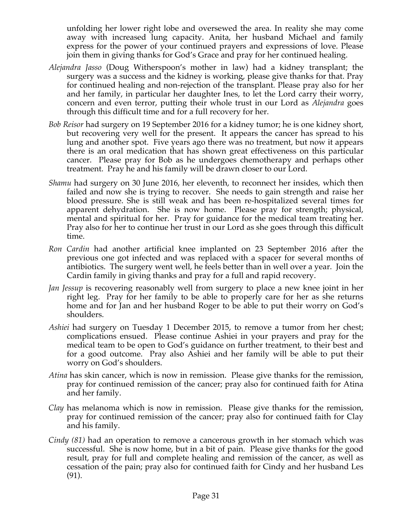unfolding her lower right lobe and oversewed the area. In reality she may come away with increased lung capacity. Anita, her husband Michael and family express for the power of your continued prayers and expressions of love. Please join them in giving thanks for God's Grace and pray for her continued healing.

- *Alejandra Jasso* (Doug Witherspoon's mother in law) had a kidney transplant; the surgery was a success and the kidney is working, please give thanks for that. Pray for continued healing and non-rejection of the transplant. Please pray also for her and her family, in particular her daughter Ines, to let the Lord carry their worry, concern and even terror, putting their whole trust in our Lord as *Alejandra* goes through this difficult time and for a full recovery for her.
- *Bob Reisor* had surgery on 19 September 2016 for a kidney tumor; he is one kidney short, but recovering very well for the present. It appears the cancer has spread to his lung and another spot. Five years ago there was no treatment, but now it appears there is an oral medication that has shown great effectiveness on this particular cancer. Please pray for Bob as he undergoes chemotherapy and perhaps other treatment. Pray he and his family will be drawn closer to our Lord.
- *Shamu* had surgery on 30 June 2016, her eleventh, to reconnect her insides, which then failed and now she is trying to recover. She needs to gain strength and raise her blood pressure. She is still weak and has been re-hospitalized several times for apparent dehydration. She is now home. Please pray for strength; physical, mental and spiritual for her. Pray for guidance for the medical team treating her. Pray also for her to continue her trust in our Lord as she goes through this difficult time.
- *Ron Cardin* had another artificial knee implanted on 23 September 2016 after the previous one got infected and was replaced with a spacer for several months of antibiotics. The surgery went well, he feels better than in well over a year. Join the Cardin family in giving thanks and pray for a full and rapid recovery.
- *Jan Jessup* is recovering reasonably well from surgery to place a new knee joint in her right leg. Pray for her family to be able to properly care for her as she returns home and for Jan and her husband Roger to be able to put their worry on God's shoulders.
- *Ashiei* had surgery on Tuesday 1 December 2015, to remove a tumor from her chest; complications ensued. Please continue Ashiei in your prayers and pray for the medical team to be open to God's guidance on further treatment, to their best and for a good outcome. Pray also Ashiei and her family will be able to put their worry on God's shoulders.
- *Atina* has skin cancer, which is now in remission. Please give thanks for the remission, pray for continued remission of the cancer; pray also for continued faith for Atina and her family.
- *Clay* has melanoma which is now in remission. Please give thanks for the remission, pray for continued remission of the cancer; pray also for continued faith for Clay and his family.
- *Cindy (81)* had an operation to remove a cancerous growth in her stomach which was successful. She is now home, but in a bit of pain. Please give thanks for the good result, pray for full and complete healing and remission of the cancer, as well as cessation of the pain; pray also for continued faith for Cindy and her husband Les (91).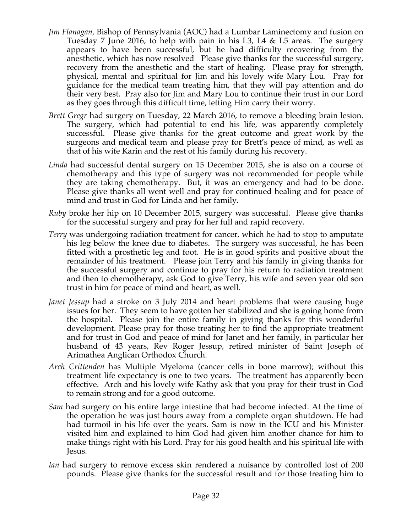- *Jim Flanagan,* Bishop of Pennsylvania (AOC) had a Lumbar Laminectomy and fusion on Tuesday 7 June 2016, to help with pain in his L3, L4 & L5 areas. The surgery appears to have been successful, but he had difficulty recovering from the anesthetic, which has now resolved Please give thanks for the successful surgery, recovery from the anesthetic and the start of healing. Please pray for strength, physical, mental and spiritual for Jim and his lovely wife Mary Lou. Pray for guidance for the medical team treating him, that they will pay attention and do their very best. Pray also for Jim and Mary Lou to continue their trust in our Lord as they goes through this difficult time, letting Him carry their worry.
- *Brett Gregr* had surgery on Tuesday, 22 March 2016, to remove a bleeding brain lesion. The surgery, which had potential to end his life, was apparently completely successful. Please give thanks for the great outcome and great work by the surgeons and medical team and please pray for Brett's peace of mind, as well as that of his wife Karin and the rest of his family during his recovery.
- *Linda* had successful dental surgery on 15 December 2015, she is also on a course of chemotherapy and this type of surgery was not recommended for people while they are taking chemotherapy. But, it was an emergency and had to be done. Please give thanks all went well and pray for continued healing and for peace of mind and trust in God for Linda and her family.
- *Ruby* broke her hip on 10 December 2015, surgery was successful. Please give thanks for the successful surgery and pray for her full and rapid recovery.
- *Terry* was undergoing radiation treatment for cancer, which he had to stop to amputate his leg below the knee due to diabetes. The surgery was successful, he has been fitted with a prosthetic leg and foot. He is in good spirits and positive about the remainder of his treatment. Please join Terry and his family in giving thanks for the successful surgery and continue to pray for his return to radiation treatment and then to chemotherapy, ask God to give Terry, his wife and seven year old son trust in him for peace of mind and heart, as well.
- *Janet Jessup* had a stroke on 3 July 2014 and heart problems that were causing huge issues for her. They seem to have gotten her stabilized and she is going home from the hospital. Please join the entire family in giving thanks for this wonderful development. Please pray for those treating her to find the appropriate treatment and for trust in God and peace of mind for Janet and her family, in particular her husband of 43 years, Rev Roger Jessup, retired minister of Saint Joseph of Arimathea Anglican Orthodox Church.
- *Arch Crittenden* has Multiple Myeloma (cancer cells in bone marrow); without this treatment life expectancy is one to two years. The treatment has apparently been effective. Arch and his lovely wife Kathy ask that you pray for their trust in God to remain strong and for a good outcome.
- *Sam* had surgery on his entire large intestine that had become infected. At the time of the operation he was just hours away from a complete organ shutdown. He had had turmoil in his life over the years. Sam is now in the ICU and his Minister visited him and explained to him God had given him another chance for him to make things right with his Lord. Pray for his good health and his spiritual life with Jesus.
- *Ian* had surgery to remove excess skin rendered a nuisance by controlled lost of 200 pounds. Please give thanks for the successful result and for those treating him to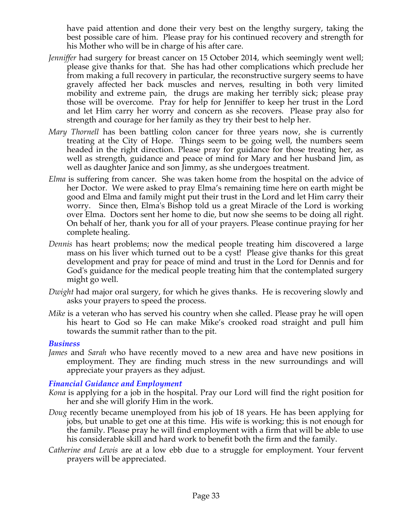have paid attention and done their very best on the lengthy surgery, taking the best possible care of him. Please pray for his continued recovery and strength for his Mother who will be in charge of his after care.

- *Jenniffer* had surgery for breast cancer on 15 October 2014, which seemingly went well; please give thanks for that. She has had other complications which preclude her from making a full recovery in particular, the reconstructive surgery seems to have gravely affected her back muscles and nerves, resulting in both very limited mobility and extreme pain, the drugs are making her terribly sick; please pray those will be overcome. Pray for help for Jenniffer to keep her trust in the Lord and let Him carry her worry and concern as she recovers. Please pray also for strength and courage for her family as they try their best to help her.
- *Mary Thornell* has been battling colon cancer for three years now, she is currently treating at the City of Hope. Things seem to be going well, the numbers seem headed in the right direction. Please pray for guidance for those treating her, as well as strength, guidance and peace of mind for Mary and her husband Jim, as well as daughter Janice and son Jimmy, as she undergoes treatment.
- *Elma* is suffering from cancer. She was taken home from the hospital on the advice of her Doctor. We were asked to pray Elma's remaining time here on earth might be good and Elma and family might put their trust in the Lord and let Him carry their worry. Since then, Elma's Bishop told us a great Miracle of the Lord is working over Elma. Doctors sent her home to die, but now she seems to be doing all right. On behalf of her, thank you for all of your prayers. Please continue praying for her complete healing.
- *Dennis* has heart problems; now the medical people treating him discovered a large mass on his liver which turned out to be a cyst! Please give thanks for this great development and pray for peace of mind and trust in the Lord for Dennis and for God's guidance for the medical people treating him that the contemplated surgery might go well.
- *Dwight* had major oral surgery, for which he gives thanks. He is recovering slowly and asks your prayers to speed the process.
- *Mike* is a veteran who has served his country when she called. Please pray he will open his heart to God so He can make Mike's crooked road straight and pull him towards the summit rather than to the pit.

#### *Business*

*James* and *Sarah* who have recently moved to a new area and have new positions in employment. They are finding much stress in the new surroundings and will appreciate your prayers as they adjust.

#### *Financial Guidance and Employment*

- *Kona* is applying for a job in the hospital. Pray our Lord will find the right position for her and she will glorify Him in the work.
- *Doug* recently became unemployed from his job of 18 years. He has been applying for jobs, but unable to get one at this time. His wife is working; this is not enough for the family. Please pray he will find employment with a firm that will be able to use his considerable skill and hard work to benefit both the firm and the family.
- *Catherine and Lewis* are at a low ebb due to a struggle for employment. Your fervent prayers will be appreciated.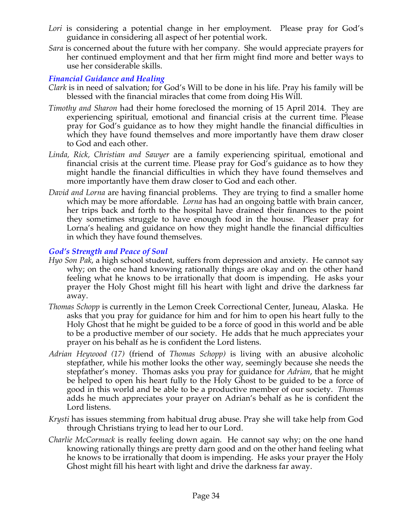- Lori is considering a potential change in her employment. Please pray for God's guidance in considering all aspect of her potential work.
- *Sara* is concerned about the future with her company. She would appreciate prayers for her continued employment and that her firm might find more and better ways to use her considerable skills.

## *Financial Guidance and Healing*

- *Clark* is in need of salvation; for God's Will to be done in his life. Pray his family will be blessed with the financial miracles that come from doing His Will.
- *Timothy and Sharon* had their home foreclosed the morning of 15 April 2014. They are experiencing spiritual, emotional and financial crisis at the current time. Please pray for God's guidance as to how they might handle the financial difficulties in which they have found themselves and more importantly have them draw closer to God and each other.
- *Linda, Rick, Christian and Sawyer* are a family experiencing spiritual, emotional and financial crisis at the current time. Please pray for God's guidance as to how they might handle the financial difficulties in which they have found themselves and more importantly have them draw closer to God and each other.
- *David and Lorna* are having financial problems. They are trying to find a smaller home which may be more affordable. *Lorna* has had an ongoing battle with brain cancer, her trips back and forth to the hospital have drained their finances to the point they sometimes struggle to have enough food in the house. Pleaser pray for Lorna's healing and guidance on how they might handle the financial difficulties in which they have found themselves.

## *God's Strength and Peace of Soul*

- *Hyo Son Pak*, a high school student, suffers from depression and anxiety. He cannot say why; on the one hand knowing rationally things are okay and on the other hand feeling what he knows to be irrationally that doom is impending. He asks your prayer the Holy Ghost might fill his heart with light and drive the darkness far away.
- *Thomas Schopp* is currently in the Lemon Creek Correctional Center, Juneau, Alaska. He asks that you pray for guidance for him and for him to open his heart fully to the Holy Ghost that he might be guided to be a force of good in this world and be able to be a productive member of our society. He adds that he much appreciates your prayer on his behalf as he is confident the Lord listens.
- *Adrian Heywood (17)* (friend of *Thomas Schopp)* is living with an abusive alcoholic stepfather, while his mother looks the other way, seemingly because she needs the stepfather's money. Thomas asks you pray for guidance for *Adrian*, that he might be helped to open his heart fully to the Holy Ghost to be guided to be a force of good in this world and be able to be a productive member of our society. *Thomas*  adds he much appreciates your prayer on Adrian's behalf as he is confident the Lord listens.
- *Krysti* has issues stemming from habitual drug abuse. Pray she will take help from God through Christians trying to lead her to our Lord.
- *Charlie McCormack* is really feeling down again. He cannot say why; on the one hand knowing rationally things are pretty darn good and on the other hand feeling what he knows to be irrationally that doom is impending. He asks your prayer the Holy Ghost might fill his heart with light and drive the darkness far away.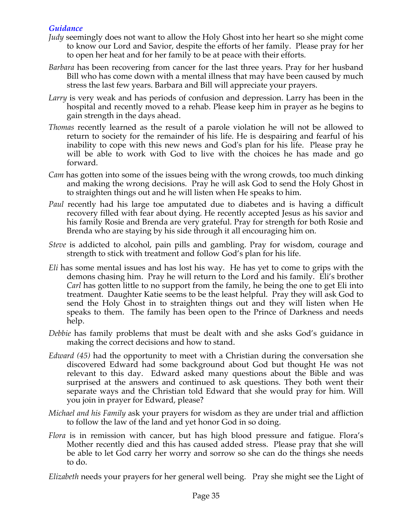## *Guidance*

- *Judy* seemingly does not want to allow the Holy Ghost into her heart so she might come to know our Lord and Savior, despite the efforts of her family. Please pray for her to open her heat and for her family to be at peace with their efforts.
- *Barbara* has been recovering from cancer for the last three years. Pray for her husband Bill who has come down with a mental illness that may have been caused by much stress the last few years. Barbara and Bill will appreciate your prayers.
- *Larry* is very weak and has periods of confusion and depression. Larry has been in the hospital and recently moved to a rehab. Please keep him in prayer as he begins to gain strength in the days ahead.
- *Thomas* recently learned as the result of a parole violation he will not be allowed to return to society for the remainder of his life. He is despairing and fearful of his inability to cope with this new news and God's plan for his life. Please pray he will be able to work with God to live with the choices he has made and go forward.
- *Cam* has gotten into some of the issues being with the wrong crowds, too much dinking and making the wrong decisions. Pray he will ask God to send the Holy Ghost in to straighten things out and he will listen when He speaks to him.
- *Paul* recently had his large toe amputated due to diabetes and is having a difficult recovery filled with fear about dying. He recently accepted Jesus as his savior and his family Rosie and Brenda are very grateful. Pray for strength for both Rosie and Brenda who are staying by his side through it all encouraging him on.
- *Steve* is addicted to alcohol, pain pills and gambling. Pray for wisdom, courage and strength to stick with treatment and follow God's plan for his life.
- *Eli* has some mental issues and has lost his way. He has yet to come to grips with the demons chasing him. Pray he will return to the Lord and his family. Eli's brother *Carl* has gotten little to no support from the family, he being the one to get Eli into treatment. Daughter Katie seems to be the least helpful. Pray they will ask God to send the Holy Ghost in to straighten things out and they will listen when He speaks to them. The family has been open to the Prince of Darkness and needs help.
- *Debbie* has family problems that must be dealt with and she asks God's guidance in making the correct decisions and how to stand.
- *Edward (45)* had the opportunity to meet with a Christian during the conversation she discovered Edward had some background about God but thought He was not relevant to this day. Edward asked many questions about the Bible and was surprised at the answers and continued to ask questions. They both went their separate ways and the Christian told Edward that she would pray for him. Will you join in prayer for Edward, please?
- *Michael and his Family* ask your prayers for wisdom as they are under trial and affliction to follow the law of the land and yet honor God in so doing.
- *Flora* is in remission with cancer, but has high blood pressure and fatigue. Flora's Mother recently died and this has caused added stress. Please pray that she will be able to let God carry her worry and sorrow so she can do the things she needs to do.

*Elizabeth* needs your prayers for her general well being. Pray she might see the Light of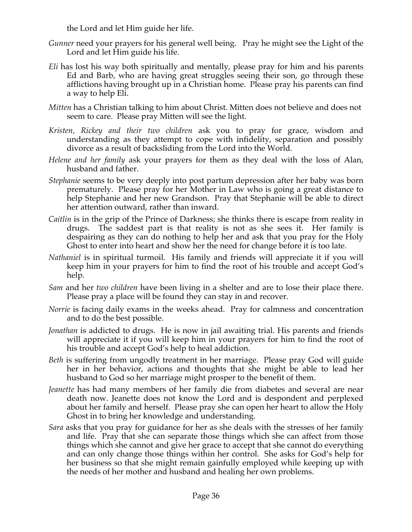the Lord and let Him guide her life.

- *Gunner* need your prayers for his general well being. Pray he might see the Light of the Lord and let Him guide his life.
- *Eli* has lost his way both spiritually and mentally, please pray for him and his parents Ed and Barb, who are having great struggles seeing their son, go through these afflictions having brought up in a Christian home. Please pray his parents can find a way to help Eli.
- *Mitten* has a Christian talking to him about Christ. Mitten does not believe and does not seem to care. Please pray Mitten will see the light.
- *Kristen, Rickey and their two children* ask you to pray for grace, wisdom and understanding as they attempt to cope with infidelity, separation and possibly divorce as a result of backsliding from the Lord into the World.
- *Helene and her family* ask your prayers for them as they deal with the loss of Alan, husband and father.
- *Stephanie* seems to be very deeply into post partum depression after her baby was born prematurely. Please pray for her Mother in Law who is going a great distance to help Stephanie and her new Grandson. Pray that Stephanie will be able to direct her attention outward, rather than inward.
- *Caitlin* is in the grip of the Prince of Darkness; she thinks there is escape from reality in drugs. The saddest part is that reality is not as she sees it. Her family is despairing as they can do nothing to help her and ask that you pray for the Holy Ghost to enter into heart and show her the need for change before it is too late.
- *Nathaniel* is in spiritual turmoil. His family and friends will appreciate it if you will keep him in your prayers for him to find the root of his trouble and accept God's help.
- *Sam* and her *two children* have been living in a shelter and are to lose their place there. Please pray a place will be found they can stay in and recover.
- *Norrie* is facing daily exams in the weeks ahead. Pray for calmness and concentration and to do the best possible.
- *Jonathan* is addicted to drugs. He is now in jail awaiting trial. His parents and friends will appreciate it if you will keep him in your prayers for him to find the root of his trouble and accept God's help to heal addiction.
- *Beth* is suffering from ungodly treatment in her marriage. Please pray God will guide her in her behavior, actions and thoughts that she might be able to lead her husband to God so her marriage might prosper to the benefit of them.
- *Jeanette* has had many members of her family die from diabetes and several are near death now. Jeanette does not know the Lord and is despondent and perplexed about her family and herself. Please pray she can open her heart to allow the Holy Ghost in to bring her knowledge and understanding.
- *Sara* asks that you pray for guidance for her as she deals with the stresses of her family and life. Pray that she can separate those things which she can affect from those things which she cannot and give her grace to accept that she cannot do everything and can only change those things within her control. She asks for God's help for her business so that she might remain gainfully employed while keeping up with the needs of her mother and husband and healing her own problems.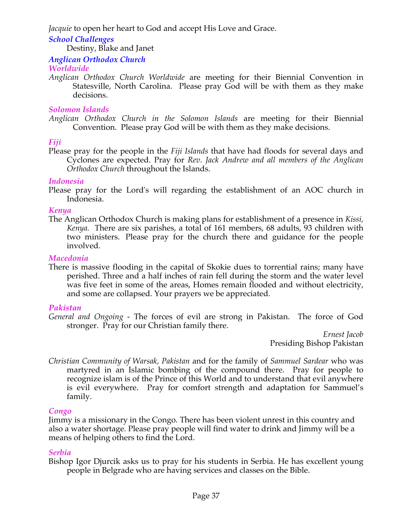*Jacquie* to open her heart to God and accept His Love and Grace.

## *School Challenges*

Destiny, Blake and Janet

#### *Anglican Orthodox Church*

*Worldwide*

*Anglican Orthodox Church Worldwide* are meeting for their Biennial Convention in Statesville, North Carolina. Please pray God will be with them as they make decisions.

#### *Solomon Islands*

*Anglican Orthodox Church in the Solomon Islands* are meeting for their Biennial Convention. Please pray God will be with them as they make decisions.

## *Fiji*

Please pray for the people in the *Fiji Islands* that have had floods for several days and Cyclones are expected. Pray for *Rev. Jack Andrew and all members of the Anglican Orthodox Church* throughout the Islands.

## *Indonesia*

Please pray for the Lord's will regarding the establishment of an AOC church in Indonesia.

#### *Kenya*

The Anglican Orthodox Church is making plans for establishment of a presence in *Kissi, Kenya.* There are six parishes, a total of 161 members, 68 adults, 93 children with two ministers. Please pray for the church there and guidance for the people involved.

#### *Macedonia*

There is massive flooding in the capital of Skokie dues to torrential rains; many have perished. Three and a half inches of rain fell during the storm and the water level was five feet in some of the areas, Homes remain flooded and without electricity, and some are collapsed. Your prayers we be appreciated.

## *Pakistan*

*General and Ongoing -* The forces of evil are strong in Pakistan. The force of God stronger. Pray for our Christian family there.

*Ernest Jacob* Presiding Bishop Pakistan

*Christian Community of Warsak, Pakistan* and for the family of *Sammuel Sardear* who was martyred in an Islamic bombing of the compound there. Pray for people to recognize islam is of the Prince of this World and to understand that evil anywhere is evil everywhere. Pray for comfort strength and adaptation for Sammuel's family.

## *Congo*

Jimmy is a missionary in the Congo. There has been violent unrest in this country and also a water shortage. Please pray people will find water to drink and Jimmy will be a means of helping others to find the Lord.

## *Serbia*

Bishop Igor Djurcik asks us to pray for his students in Serbia. He has excellent young people in Belgrade who are having services and classes on the Bible.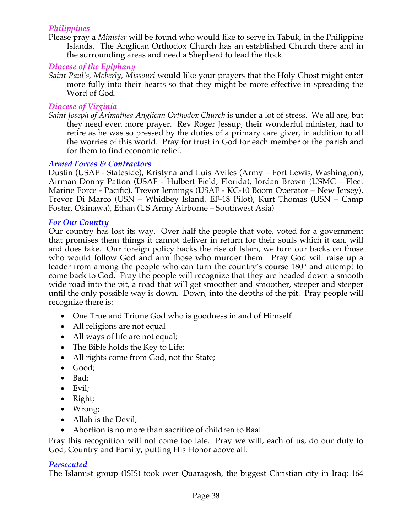#### *Philippines*

Please pray a *Minister* will be found who would like to serve in Tabuk, in the Philippine Islands. The Anglican Orthodox Church has an established Church there and in the surrounding areas and need a Shepherd to lead the flock*.*

#### *Diocese of the Epiphany*

*Saint Paul's, Moberly, Missouri* would like your prayers that the Holy Ghost might enter more fully into their hearts so that they might be more effective in spreading the Word of God.

#### *Diocese of Virginia*

*Saint Joseph of Arimathea Anglican Orthodox Church* is under a lot of stress. We all are, but they need even more prayer. Rev Roger Jessup, their wonderful minister, had to retire as he was so pressed by the duties of a primary care giver, in addition to all the worries of this world. Pray for trust in God for each member of the parish and for them to find economic relief.

#### *Armed Forces & Contractors*

Dustin (USAF - Stateside), Kristyna and Luis Aviles (Army – Fort Lewis, Washington), Airman Donny Patton (USAF - Hulbert Field, Florida), Jordan Brown (USMC – Fleet Marine Force - Pacific), Trevor Jennings (USAF - KC-10 Boom Operator – New Jersey), Trevor Di Marco (USN – Whidbey Island, EF-18 Pilot), Kurt Thomas (USN – Camp Foster, Okinawa), Ethan (US Army Airborne – Southwest Asia)

#### *For Our Country*

Our country has lost its way. Over half the people that vote, voted for a government that promises them things it cannot deliver in return for their souls which it can, will and does take. Our foreign policy backs the rise of Islam, we turn our backs on those who would follow God and arm those who murder them. Pray God will raise up a leader from among the people who can turn the country's course 180° and attempt to come back to God. Pray the people will recognize that they are headed down a smooth wide road into the pit, a road that will get smoother and smoother, steeper and steeper until the only possible way is down. Down, into the depths of the pit. Pray people will recognize there is:

- One True and Triune God who is goodness in and of Himself
- All religions are not equal
- All ways of life are not equal;
- The Bible holds the Key to Life;
- All rights come from God, not the State;
- Good;
- Bad;
- Evil;
- Right;
- Wrong;
- Allah is the Devil;
- Abortion is no more than sacrifice of children to Baal.

Pray this recognition will not come too late. Pray we will, each of us, do our duty to God, Country and Family, putting His Honor above all.

## *Persecuted*

The Islamist group (ISIS) took over Quaragosh, the biggest Christian city in Iraq; 164